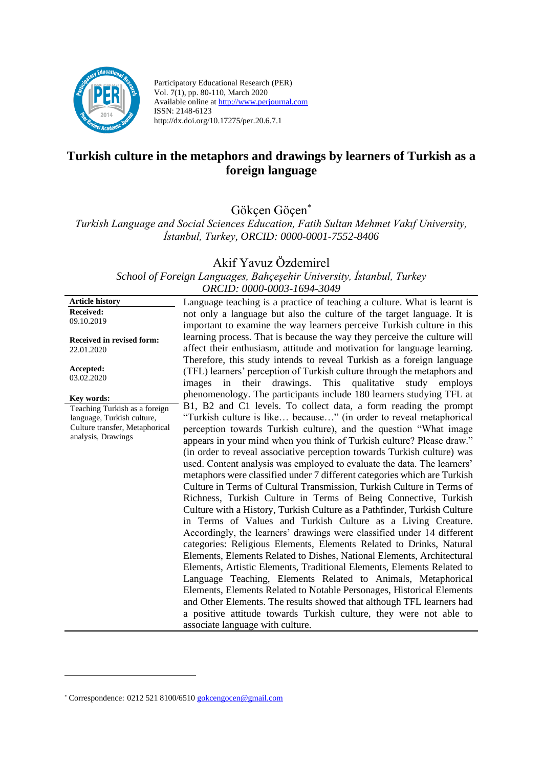

Participatory Educational Research (PER) Vol. 7(1), pp. 80-110, March 2020 Available online at http://www.perjournal.com ISSN: 2148-6123 http://dx.doi.org/10.17275/per.20.6.7.1

# **Turkish culture in the metaphors and drawings by learners of Turkish as a foreign language**

Gökçen Göçen\*

*Turkish Language and Social Sciences Education, Fatih Sultan Mehmet Vakıf University, İstanbul, Turkey, ORCID: 0000-0001-7552-8406*

Akif Yavuz Özdemirel

*School of Foreign Languages, Bahçeşehir University, İstanbul, Turkey ORCID: 0000-0003-1694-3049*

**Article history Received:**  09.10.2019 **Received in revised form:**  22.01.2020 **Accepted:** 03.02.2020 Language teaching is a practice of teaching a culture. What is learnt is not only a language but also the culture of the target language. It is important to examine the way learners perceive Turkish culture in this learning process. That is because the way they perceive the culture will affect their enthusiasm, attitude and motivation for language learning. Therefore, this study intends to reveal Turkish as a foreign language (TFL) learners' perception of Turkish culture through the metaphors and images in their drawings. This qualitative study employs phenomenology. The participants include 180 learners studying TFL at B1, B2 and C1 levels. To collect data, a form reading the prompt "Turkish culture is like… because…" (in order to reveal metaphorical perception towards Turkish culture), and the question "What image appears in your mind when you think of Turkish culture? Please draw." (in order to reveal associative perception towards Turkish culture) was used. Content analysis was employed to evaluate the data. The learners' metaphors were classified under 7 different categories which are Turkish Culture in Terms of Cultural Transmission, Turkish Culture in Terms of Richness, Turkish Culture in Terms of Being Connective, Turkish Culture with a History, Turkish Culture as a Pathfinder, Turkish Culture in Terms of Values and Turkish Culture as a Living Creature. Accordingly, the learners' drawings were classified under 14 different categories: Religious Elements, Elements Related to Drinks, Natural Elements, Elements Related to Dishes, National Elements, Architectural Elements, Artistic Elements, Traditional Elements, Elements Related to Language Teaching, Elements Related to Animals, Metaphorical Elements, Elements Related to Notable Personages, Historical Elements and Other Elements. The results showed that although TFL learners had a positive attitude towards Turkish culture, they were not able to associate language with culture. **Key words:** Teaching Turkish as a foreign language, Turkish culture, Culture transfer, Metaphorical analysis, Drawings

<sup>\*</sup> Correspondence: 0212 521 8100/6510 [gokcengocen@gmail.com](mailto:gokcengocen@gmail.com)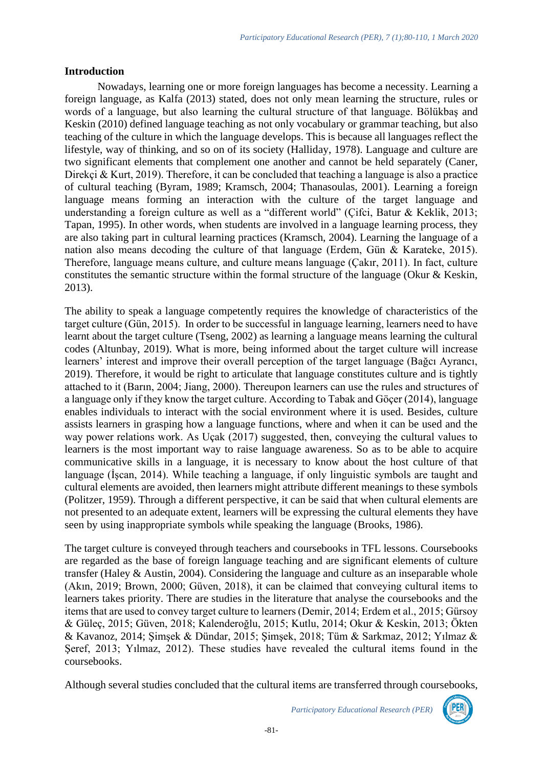### **Introduction**

Nowadays, learning one or more foreign languages has become a necessity. Learning a foreign language, as Kalfa (2013) stated, does not only mean learning the structure, rules or words of a language, but also learning the cultural structure of that language. Bölükbaş and Keskin (2010) defined language teaching as not only vocabulary or grammar teaching, but also teaching of the culture in which the language develops. This is because all languages reflect the lifestyle, way of thinking, and so on of its society (Halliday, 1978). Language and culture are two significant elements that complement one another and cannot be held separately (Caner, Direkçi & Kurt, 2019). Therefore, it can be concluded that teaching a language is also a practice of cultural teaching (Byram, 1989; Kramsch, 2004; Thanasoulas, 2001). Learning a foreign language means forming an interaction with the culture of the target language and understanding a foreign culture as well as a "different world" (Çifci, Batur & Keklik, 2013; Tapan, 1995). In other words, when students are involved in a language learning process, they are also taking part in cultural learning practices (Kramsch, 2004). Learning the language of a nation also means decoding the culture of that language (Erdem, Gün & Karateke, 2015). Therefore, language means culture, and culture means language (Çakır, 2011). In fact, culture constitutes the semantic structure within the formal structure of the language (Okur & Keskin, 2013).

The ability to speak a language competently requires the knowledge of characteristics of the target culture (Gün, 2015). In order to be successful in language learning, learners need to have learnt about the target culture (Tseng, 2002) as learning a language means learning the cultural codes (Altunbay, 2019). What is more, being informed about the target culture will increase learners' interest and improve their overall perception of the target language (Bağcı Ayrancı, 2019). Therefore, it would be right to articulate that language constitutes culture and is tightly attached to it (Barın, 2004; Jiang, 2000). Thereupon learners can use the rules and structures of a language only if they know the target culture. According to Tabak and Göçer (2014), language enables individuals to interact with the social environment where it is used. Besides, culture assists learners in grasping how a language functions, where and when it can be used and the way power relations work. As Uçak (2017) suggested, then, conveying the cultural values to learners is the most important way to raise language awareness. So as to be able to acquire communicative skills in a language, it is necessary to know about the host culture of that language (İşcan, 2014). While teaching a language, if only linguistic symbols are taught and cultural elements are avoided, then learners might attribute different meanings to these symbols (Politzer, 1959). Through a different perspective, it can be said that when cultural elements are not presented to an adequate extent, learners will be expressing the cultural elements they have seen by using inappropriate symbols while speaking the language (Brooks, 1986).

The target culture is conveyed through teachers and coursebooks in TFL lessons. Coursebooks are regarded as the base of foreign language teaching and are significant elements of culture transfer (Haley & Austin, 2004). Considering the language and culture as an inseparable whole (Akın, 2019; Brown, 2000; Güven, 2018), it can be claimed that conveying cultural items to learners takes priority. There are studies in the literature that analyse the coursebooks and the items that are used to convey target culture to learners (Demir, 2014; Erdem et al., 2015; Gürsoy & Güleç, 2015; Güven, 2018; Kalenderoğlu, 2015; Kutlu, 2014; Okur & Keskin, 2013; Ökten & Kavanoz, 2014; Şimşek & Dündar, 2015; Şimşek, 2018; Tüm & Sarkmaz, 2012; Yılmaz & Şeref, 2013; Yılmaz, 2012). These studies have revealed the cultural items found in the coursebooks.

Although several studies concluded that the cultural items are transferred through coursebooks,

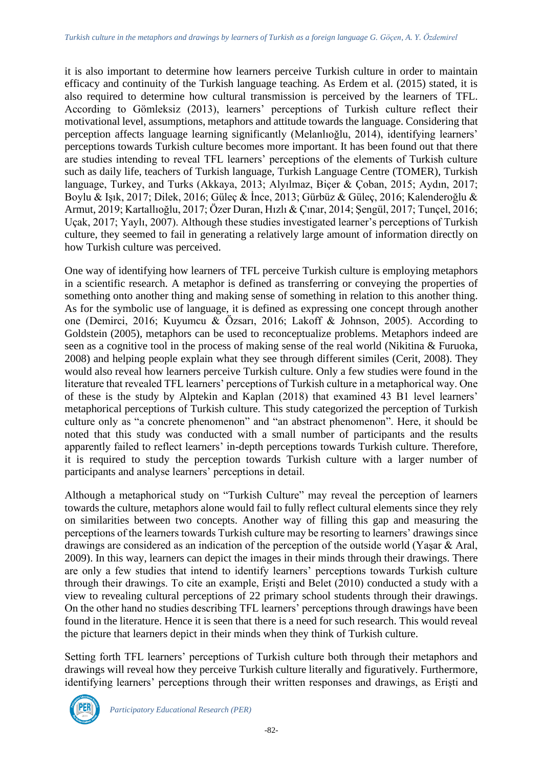it is also important to determine how learners perceive Turkish culture in order to maintain efficacy and continuity of the Turkish language teaching. As Erdem et al. (2015) stated, it is also required to determine how cultural transmission is perceived by the learners of TFL. According to Gömleksiz (2013), learners' perceptions of Turkish culture reflect their motivational level, assumptions, metaphors and attitude towards the language. Considering that perception affects language learning significantly (Melanlıoğlu, 2014), identifying learners' perceptions towards Turkish culture becomes more important. It has been found out that there are studies intending to reveal TFL learners' perceptions of the elements of Turkish culture such as daily life, teachers of Turkish language, Turkish Language Centre (TOMER), Turkish language, Turkey, and Turks (Akkaya, 2013; Alyılmaz, Biçer & Çoban, 2015; Aydın, 2017; Boylu & Işık, 2017; Dilek, 2016; Güleç & İnce, 2013; Gürbüz & Güleç, 2016; Kalenderoğlu & Armut, 2019; Kartallıoğlu, 2017; Özer Duran, Hızlı & Çınar, 2014; Şengül, 2017; Tunçel, 2016; Uçak, 2017; Yaylı, 2007). Although these studies investigated learner's perceptions of Turkish culture, they seemed to fail in generating a relatively large amount of information directly on how Turkish culture was perceived.

One way of identifying how learners of TFL perceive Turkish culture is employing metaphors in a scientific research. A metaphor is defined as transferring or conveying the properties of something onto another thing and making sense of something in relation to this another thing. As for the symbolic use of language, it is defined as expressing one concept through another one (Demirci, 2016; Kuyumcu & Özsarı, 2016; Lakoff & Johnson, 2005). According to Goldstein (2005), metaphors can be used to reconceptualize problems. Metaphors indeed are seen as a cognitive tool in the process of making sense of the real world (Nikitina & Furuoka, 2008) and helping people explain what they see through different similes (Cerit, 2008). They would also reveal how learners perceive Turkish culture. Only a few studies were found in the literature that revealed TFL learners' perceptions of Turkish culture in a metaphorical way. One of these is the study by Alptekin and Kaplan (2018) that examined 43 B1 level learners' metaphorical perceptions of Turkish culture. This study categorized the perception of Turkish culture only as "a concrete phenomenon" and "an abstract phenomenon". Here, it should be noted that this study was conducted with a small number of participants and the results apparently failed to reflect learners' in-depth perceptions towards Turkish culture. Therefore, it is required to study the perception towards Turkish culture with a larger number of participants and analyse learners' perceptions in detail.

Although a metaphorical study on "Turkish Culture" may reveal the perception of learners towards the culture, metaphors alone would fail to fully reflect cultural elements since they rely on similarities between two concepts. Another way of filling this gap and measuring the perceptions of the learners towards Turkish culture may be resorting to learners' drawings since drawings are considered as an indication of the perception of the outside world (Yaşar & Aral, 2009). In this way, learners can depict the images in their minds through their drawings. There are only a few studies that intend to identify learners' perceptions towards Turkish culture through their drawings. To cite an example, Erişti and Belet (2010) conducted a study with a view to revealing cultural perceptions of 22 primary school students through their drawings. On the other hand no studies describing TFL learners' perceptions through drawings have been found in the literature. Hence it is seen that there is a need for such research. This would reveal the picture that learners depict in their minds when they think of Turkish culture.

Setting forth TFL learners' perceptions of Turkish culture both through their metaphors and drawings will reveal how they perceive Turkish culture literally and figuratively. Furthermore, identifying learners' perceptions through their written responses and drawings, as Erişti and

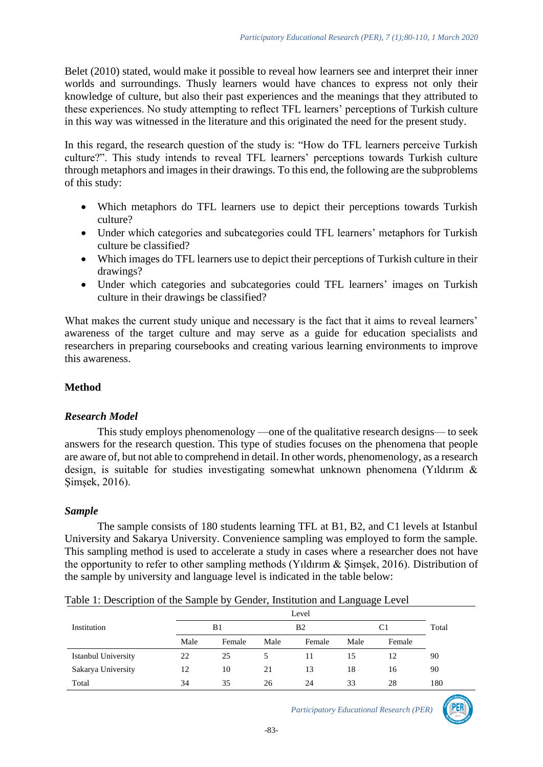Belet (2010) stated, would make it possible to reveal how learners see and interpret their inner worlds and surroundings. Thusly learners would have chances to express not only their knowledge of culture, but also their past experiences and the meanings that they attributed to these experiences. No study attempting to reflect TFL learners' perceptions of Turkish culture in this way was witnessed in the literature and this originated the need for the present study.

In this regard, the research question of the study is: "How do TFL learners perceive Turkish culture?". This study intends to reveal TFL learners' perceptions towards Turkish culture through metaphors and images in their drawings. To this end, the following are the subproblems of this study:

- Which metaphors do TFL learners use to depict their perceptions towards Turkish culture?
- Under which categories and subcategories could TFL learners' metaphors for Turkish culture be classified?
- Which images do TFL learners use to depict their perceptions of Turkish culture in their drawings?
- Under which categories and subcategories could TFL learners' images on Turkish culture in their drawings be classified?

What makes the current study unique and necessary is the fact that it aims to reveal learners' awareness of the target culture and may serve as a guide for education specialists and researchers in preparing coursebooks and creating various learning environments to improve this awareness.

### **Method**

### *Research Model*

This study employs phenomenology —one of the qualitative research designs— to seek answers for the research question. This type of studies focuses on the phenomena that people are aware of, but not able to comprehend in detail. In other words, phenomenology, as a research design, is suitable for studies investigating somewhat unknown phenomena (Yıldırım & Şimşek, 2016).

#### *Sample*

The sample consists of 180 students learning TFL at B1, B2, and C1 levels at Istanbul University and Sakarya University. Convenience sampling was employed to form the sample. This sampling method is used to accelerate a study in cases where a researcher does not have the opportunity to refer to other sampling methods (Yıldırım & Şimşek, 2016). Distribution of the sample by university and language level is indicated in the table below:

Table 1: Description of the Sample by Gender, Institution and Language Level

|                     |      | Level  |      |                |      |                |     |  |
|---------------------|------|--------|------|----------------|------|----------------|-----|--|
| Institution         |      | B1     |      | B <sub>2</sub> |      | C <sub>1</sub> |     |  |
|                     | Male | Female | Male | Female         | Male | Female         |     |  |
| Istanbul University | 22   | 25     | 5.   | 11             | 15   | 12             | 90  |  |
| Sakarya University  | 12   | 10     | 21   | 13             | 18   | 16             | 90  |  |
| Total               | 34   | 35     | 26   | 24             | 33   | 28             | 180 |  |

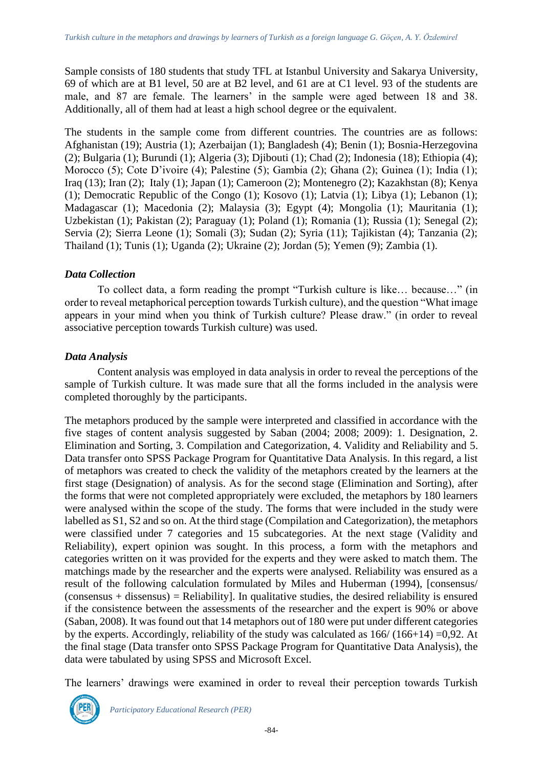Sample consists of 180 students that study TFL at Istanbul University and Sakarya University, 69 of which are at B1 level, 50 are at B2 level, and 61 are at C1 level. 93 of the students are male, and 87 are female. The learners' in the sample were aged between 18 and 38. Additionally, all of them had at least a high school degree or the equivalent.

The students in the sample come from different countries. The countries are as follows: Afghanistan (19); Austria (1); Azerbaijan (1); Bangladesh (4); Benin (1); Bosnia-Herzegovina (2); Bulgaria (1); Burundi (1); Algeria (3); Djibouti (1); Chad (2); Indonesia (18); Ethiopia (4); Morocco (5); Cote D'ivoire (4); Palestine (5); Gambia (2); Ghana (2); Guinea (1); India (1); Iraq (13); Iran (2); Italy (1); Japan (1); Cameroon (2); Montenegro (2); Kazakhstan (8); Kenya (1); Democratic Republic of the Congo (1); Kosovo (1); Latvia (1); Libya (1); Lebanon (1); Madagascar (1); Macedonia (2); Malaysia (3); Egypt (4); Mongolia (1); Mauritania (1); Uzbekistan (1); Pakistan (2); Paraguay (1); Poland (1); Romania (1); Russia (1); Senegal (2); Servia (2); Sierra Leone (1); Somali (3); Sudan (2); Syria (11); Tajikistan (4); Tanzania (2); Thailand (1); Tunis (1); Uganda (2); Ukraine (2); Jordan (5); Yemen (9); Zambia (1).

### *Data Collection*

To collect data, a form reading the prompt "Turkish culture is like… because…" (in order to reveal metaphorical perception towards Turkish culture), and the question "What image appears in your mind when you think of Turkish culture? Please draw." (in order to reveal associative perception towards Turkish culture) was used.

### *Data Analysis*

Content analysis was employed in data analysis in order to reveal the perceptions of the sample of Turkish culture. It was made sure that all the forms included in the analysis were completed thoroughly by the participants.

The metaphors produced by the sample were interpreted and classified in accordance with the five stages of content analysis suggested by Saban (2004; 2008; 2009): 1. Designation, 2. Elimination and Sorting, 3. Compilation and Categorization, 4. Validity and Reliability and 5. Data transfer onto SPSS Package Program for Quantitative Data Analysis. In this regard, a list of metaphors was created to check the validity of the metaphors created by the learners at the first stage (Designation) of analysis. As for the second stage (Elimination and Sorting), after the forms that were not completed appropriately were excluded, the metaphors by 180 learners were analysed within the scope of the study. The forms that were included in the study were labelled as S1, S2 and so on. At the third stage (Compilation and Categorization), the metaphors were classified under 7 categories and 15 subcategories. At the next stage (Validity and Reliability), expert opinion was sought. In this process, a form with the metaphors and categories written on it was provided for the experts and they were asked to match them. The matchings made by the researcher and the experts were analysed. Reliability was ensured as a result of the following calculation formulated by Miles and Huberman (1994), [consensus/  $(consensus + dissensus) = Reliability$ . In qualitative studies, the desired reliability is ensured if the consistence between the assessments of the researcher and the expert is 90% or above (Saban, 2008). It was found out that 14 metaphors out of 180 were put under different categories by the experts. Accordingly, reliability of the study was calculated as 166/ (166+14) =0,92. At the final stage (Data transfer onto SPSS Package Program for Quantitative Data Analysis), the data were tabulated by using SPSS and Microsoft Excel.

The learners' drawings were examined in order to reveal their perception towards Turkish

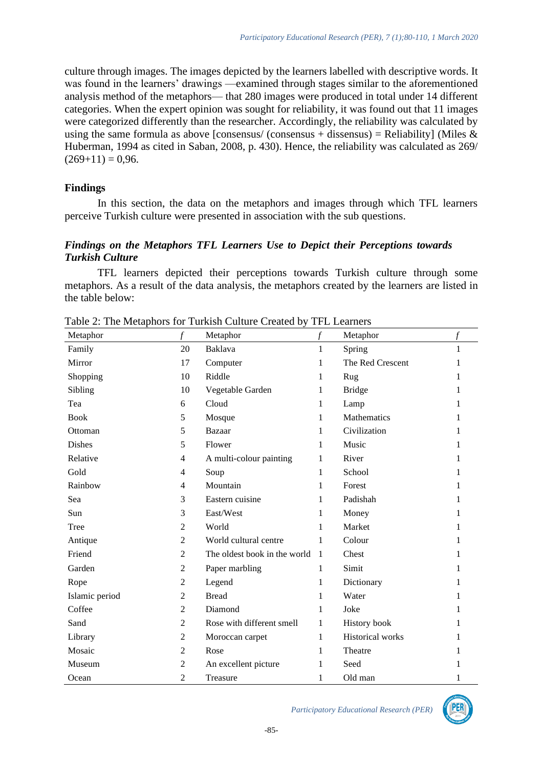culture through images. The images depicted by the learners labelled with descriptive words. It was found in the learners' drawings —examined through stages similar to the aforementioned analysis method of the metaphors— that 280 images were produced in total under 14 different categories. When the expert opinion was sought for reliability, it was found out that 11 images were categorized differently than the researcher. Accordingly, the reliability was calculated by using the same formula as above [consensus/ (consensus + dissensus) = Reliability] (Miles  $\&$ Huberman, 1994 as cited in Saban, 2008, p. 430). Hence, the reliability was calculated as 269/  $(269+11) = 0.96$ .

### **Findings**

In this section, the data on the metaphors and images through which TFL learners perceive Turkish culture were presented in association with the sub questions.

### *Findings on the Metaphors TFL Learners Use to Depict their Perceptions towards Turkish Culture*

TFL learners depicted their perceptions towards Turkish culture through some metaphors. As a result of the data analysis, the metaphors created by the learners are listed in the table below:

| Metaphor       | f              | radio 2. The metaphols for Turkish Culture Created by<br>Metaphor | $\int$       | TT LI LOGITIONS<br>Metaphor | $\mathcal{f}$ |
|----------------|----------------|-------------------------------------------------------------------|--------------|-----------------------------|---------------|
| Family         | 20             | Baklava                                                           | $\mathbf{1}$ | Spring                      | 1             |
| Mirror         | 17             | Computer                                                          | 1            | The Red Crescent            | 1             |
| Shopping       | 10             | Riddle                                                            | 1            | Rug                         |               |
| Sibling        | 10             | Vegetable Garden                                                  | 1            | <b>Bridge</b>               | 1             |
| Tea            | 6              | Cloud                                                             | 1            | Lamp                        |               |
| <b>Book</b>    | 5              | Mosque                                                            | 1            | Mathematics                 |               |
| Ottoman        | 5              | Bazaar                                                            | 1            | Civilization                | 1             |
| Dishes         | 5              | Flower                                                            | 1            | Music                       | 1             |
| Relative       | $\overline{4}$ | A multi-colour painting                                           | 1            | River                       | 1             |
| Gold           | $\overline{4}$ | Soup                                                              | 1            | School                      |               |
| Rainbow        | $\overline{4}$ | Mountain                                                          | $\mathbf{1}$ | Forest                      | 1             |
| Sea            | 3              | Eastern cuisine                                                   | 1            | Padishah                    | 1             |
| Sun            | 3              | East/West                                                         | 1            | Money                       |               |
| Tree           | 2              | World                                                             | 1            | Market                      | 1             |
| Antique        | $\overline{2}$ | World cultural centre                                             | 1            | Colour                      | 1             |
| Friend         | $\mathfrak{2}$ | The oldest book in the world                                      | -1           | Chest                       | 1             |
| Garden         | 2              | Paper marbling                                                    | 1            | Simit                       |               |
| Rope           | $\overline{2}$ | Legend                                                            | 1            | Dictionary                  |               |
| Islamic period | 2              | <b>Bread</b>                                                      | 1            | Water                       |               |
| Coffee         | 2              | Diamond                                                           | 1            | Joke                        |               |
| Sand           | 2              | Rose with different smell                                         | 1            | History book                |               |
| Library        | 2              | Moroccan carpet                                                   | 1            | <b>Historical</b> works     |               |
| Mosaic         | $\overline{2}$ | Rose                                                              | 1            | Theatre                     |               |
| Museum         | 2              | An excellent picture                                              | 1            | Seed                        |               |
| Ocean          | $\overline{2}$ | Treasure                                                          | 1            | Old man                     |               |

Table 2: The Metaphors for Turkish Culture Created by TFL Learners

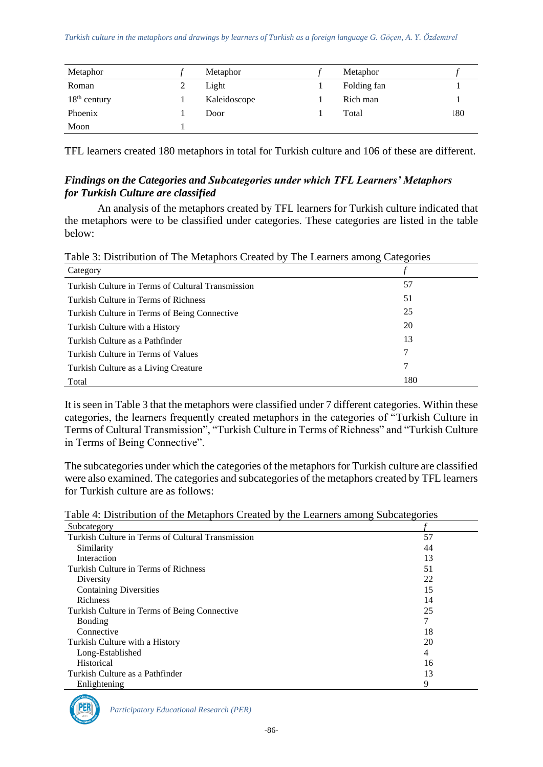| Metaphor       | Metaphor     | Metaphor    |     |
|----------------|--------------|-------------|-----|
| Roman          | Light        | Folding fan |     |
| $18th$ century | Kaleidoscope | Rich man    |     |
| Phoenix        | Door         | Total       | .80 |
| Moon           |              |             |     |

TFL learners created 180 metaphors in total for Turkish culture and 106 of these are different.

# *Findings on the Categories and Subcategories under which TFL Learners' Metaphors for Turkish Culture are classified*

An analysis of the metaphors created by TFL learners for Turkish culture indicated that the metaphors were to be classified under categories. These categories are listed in the table below:

Table 3: Distribution of The Metaphors Created by The Learners among Categories

| Category                                          |     |
|---------------------------------------------------|-----|
| Turkish Culture in Terms of Cultural Transmission | 57  |
| Turkish Culture in Terms of Richness              | 51  |
| Turkish Culture in Terms of Being Connective      | 25  |
| Turkish Culture with a History                    | 20  |
| Turkish Culture as a Pathfinder                   | 13  |
| Turkish Culture in Terms of Values                | 7   |
| Turkish Culture as a Living Creature              | 7   |
| Total                                             | 180 |

It is seen in Table 3 that the metaphors were classified under 7 different categories. Within these categories, the learners frequently created metaphors in the categories of "Turkish Culture in Terms of Cultural Transmission", "Turkish Culture in Terms of Richness" and "Turkish Culture in Terms of Being Connective".

The subcategories under which the categories of the metaphors for Turkish culture are classified were also examined. The categories and subcategories of the metaphors created by TFL learners for Turkish culture are as follows:

| Table 4: Distribution of the Metaphors Created by the Learners among Subcategories |  |  |  |
|------------------------------------------------------------------------------------|--|--|--|
|------------------------------------------------------------------------------------|--|--|--|

| Subcategory                                       |    |
|---------------------------------------------------|----|
| Turkish Culture in Terms of Cultural Transmission | 57 |
| Similarity                                        | 44 |
| Interaction                                       | 13 |
| Turkish Culture in Terms of Richness              | 51 |
| Diversity                                         | 22 |
| <b>Containing Diversities</b>                     | 15 |
| <b>Richness</b>                                   | 14 |
| Turkish Culture in Terms of Being Connective      | 25 |
| Bonding                                           | 7  |
| Connective                                        | 18 |
| Turkish Culture with a History                    | 20 |
| Long-Established                                  | 4  |
| Historical                                        | 16 |
| Turkish Culture as a Pathfinder                   | 13 |
| Enlightening                                      | 9  |

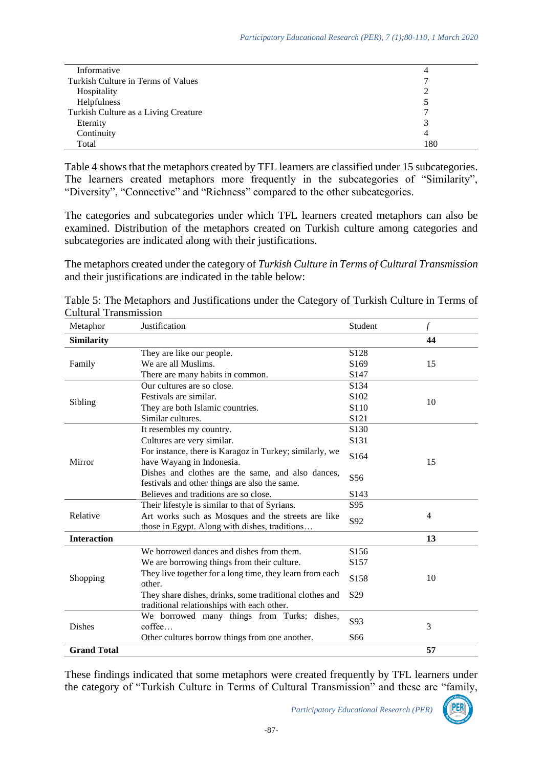| Informative                          |     |
|--------------------------------------|-----|
| Turkish Culture in Terms of Values   |     |
| Hospitality                          |     |
| <b>Helpfulness</b>                   |     |
| Turkish Culture as a Living Creature |     |
| Eternity                             |     |
| Continuity                           |     |
| Total                                | 180 |

Table 4 shows that the metaphors created by TFL learners are classified under 15 subcategories. The learners created metaphors more frequently in the subcategories of "Similarity", "Diversity", "Connective" and "Richness" compared to the other subcategories.

The categories and subcategories under which TFL learners created metaphors can also be examined. Distribution of the metaphors created on Turkish culture among categories and subcategories are indicated along with their justifications.

The metaphors created under the category of *Turkish Culture in Terms of Cultural Transmission* and their justifications are indicated in the table below:

| Metaphor           | Justification                                                                                                                                                 | Student                                      | f  |
|--------------------|---------------------------------------------------------------------------------------------------------------------------------------------------------------|----------------------------------------------|----|
| <b>Similarity</b>  |                                                                                                                                                               |                                              | 44 |
| Family             | They are like our people.<br>We are all Muslims.<br>There are many habits in common.                                                                          | S128<br>S <sub>169</sub><br>S <sub>147</sub> | 15 |
| Sibling            | Our cultures are so close.<br>Festivals are similar.<br>They are both Islamic countries.<br>Similar cultures.                                                 | S134<br>S102<br>S110<br>S <sub>121</sub>     | 10 |
| Mirror             | It resembles my country.<br>Cultures are very similar.<br>For instance, there is Karagoz in Turkey; similarly, we<br>have Wayang in Indonesia.                | S <sub>130</sub><br>S131<br>S <sub>164</sub> | 15 |
|                    | Dishes and clothes are the same, and also dances,<br>festivals and other things are also the same.<br>Believes and traditions are so close.                   | S56<br>S <sub>143</sub>                      |    |
| Relative           | Their lifestyle is similar to that of Syrians.<br>Art works such as Mosques and the streets are like<br>those in Egypt. Along with dishes, traditions         | S95<br>S92                                   | 4  |
| <b>Interaction</b> |                                                                                                                                                               |                                              | 13 |
| Shopping           | We borrowed dances and dishes from them.<br>We are borrowing things from their culture.<br>They live together for a long time, they learn from each<br>other. | S156<br>S <sub>157</sub><br>S158             | 10 |
|                    | They share dishes, drinks, some traditional clothes and<br>traditional relationships with each other.                                                         | S <sub>29</sub>                              |    |
| <b>Dishes</b>      | We borrowed many things from Turks; dishes,<br>coffee<br>Other cultures borrow things from one another.                                                       | S93<br>S66                                   | 3  |
| <b>Grand Total</b> |                                                                                                                                                               |                                              | 57 |

Table 5: The Metaphors and Justifications under the Category of Turkish Culture in Terms of Cultural Transmission

These findings indicated that some metaphors were created frequently by TFL learners under the category of "Turkish Culture in Terms of Cultural Transmission" and these are "family,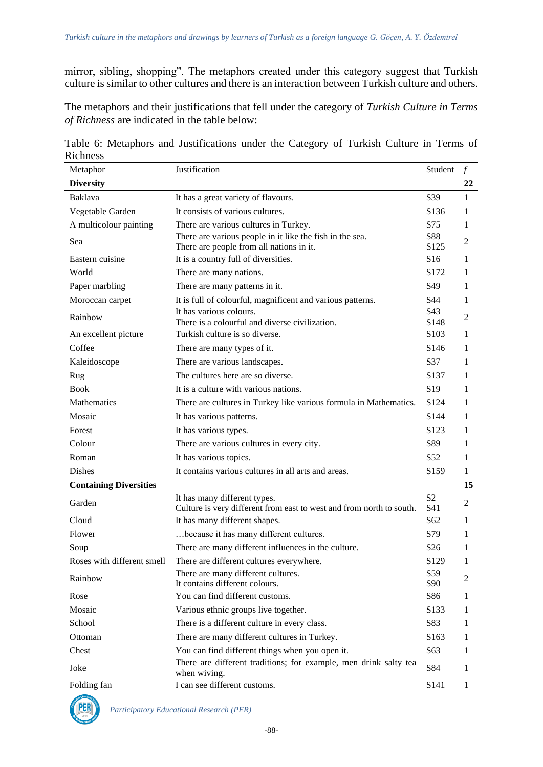mirror, sibling, shopping". The metaphors created under this category suggest that Turkish culture is similar to other cultures and there is an interaction between Turkish culture and others.

The metaphors and their justifications that fell under the category of *Turkish Culture in Terms of Richness* are indicated in the table below:

|          |  | Table 6: Metaphors and Justifications under the Category of Turkish Culture in Terms of |  |  |  |  |  |
|----------|--|-----------------------------------------------------------------------------------------|--|--|--|--|--|
| Richness |  |                                                                                         |  |  |  |  |  |

| Metaphor                      | Justification                                                                                        | Student                | f              |
|-------------------------------|------------------------------------------------------------------------------------------------------|------------------------|----------------|
| <b>Diversity</b>              |                                                                                                      |                        | 22             |
| Baklava                       | It has a great variety of flavours.                                                                  | S39                    | 1              |
| Vegetable Garden              | It consists of various cultures.                                                                     | S <sub>136</sub>       | 1              |
| A multicolour painting        | There are various cultures in Turkey.                                                                | S75                    | 1              |
| Sea                           | There are various people in it like the fish in the sea.<br>There are people from all nations in it. | S88<br>S125            | 2              |
| Eastern cuisine               | It is a country full of diversities.                                                                 | S16                    | 1              |
| World                         | There are many nations.                                                                              | S <sub>172</sub>       | 1              |
| Paper marbling                | There are many patterns in it.                                                                       | S <sub>49</sub>        | 1              |
| Moroccan carpet               | It is full of colourful, magnificent and various patterns.                                           | S44                    | 1              |
| Rainbow                       | It has various colours.<br>There is a colourful and diverse civilization.                            | S43<br>S148            | 2              |
| An excellent picture          | Turkish culture is so diverse.                                                                       | S <sub>103</sub>       | 1              |
| Coffee                        | There are many types of it.                                                                          | S <sub>146</sub>       | 1              |
| Kaleidoscope                  | There are various landscapes.                                                                        | S37                    | 1              |
| Rug                           | The cultures here are so diverse.                                                                    | S <sub>137</sub>       | 1              |
| <b>Book</b>                   | It is a culture with various nations.                                                                | S <sub>19</sub>        | 1              |
| Mathematics                   | There are cultures in Turkey like various formula in Mathematics.                                    | S <sub>124</sub>       | 1              |
| Mosaic                        | It has various patterns.                                                                             | S <sub>144</sub>       | 1              |
| Forest                        | It has various types.                                                                                | S <sub>123</sub>       | 1              |
| Colour                        | There are various cultures in every city.                                                            | S89                    | 1              |
| Roman                         | It has various topics.                                                                               | S52                    | 1              |
| <b>Dishes</b>                 | It contains various cultures in all arts and areas.                                                  | S159                   | 1              |
| <b>Containing Diversities</b> |                                                                                                      |                        | 15             |
| Garden                        | It has many different types.<br>Culture is very different from east to west and from north to south. | $\overline{S2}$<br>S41 | $\mathfrak{2}$ |
| Cloud                         | It has many different shapes.                                                                        | S62                    | 1              |
| Flower                        | because it has many different cultures.                                                              | S79                    | 1              |
| Soup                          | There are many different influences in the culture.                                                  | S <sub>26</sub>        | 1              |
| Roses with different smell    | There are different cultures everywhere.                                                             | S129                   | 1              |
| Rainbow                       | There are many different cultures.<br>It contains different colours.                                 | S59<br>S90             | 2              |
| Rose                          | You can find different customs.                                                                      | S86                    | 1              |
| Mosaic                        | Various ethnic groups live together.                                                                 | S133                   | 1              |
| School                        | There is a different culture in every class.                                                         | S83                    | 1              |
| Ottoman                       | There are many different cultures in Turkey.                                                         | S163                   | 1              |
| Chest                         | You can find different things when you open it.                                                      | S63                    | 1              |
| Joke                          | There are different traditions; for example, men drink salty tea<br>when wiving.                     | S84                    | 1              |
| Folding fan                   | I can see different customs.                                                                         | S <sub>141</sub>       | $\mathbf{1}$   |

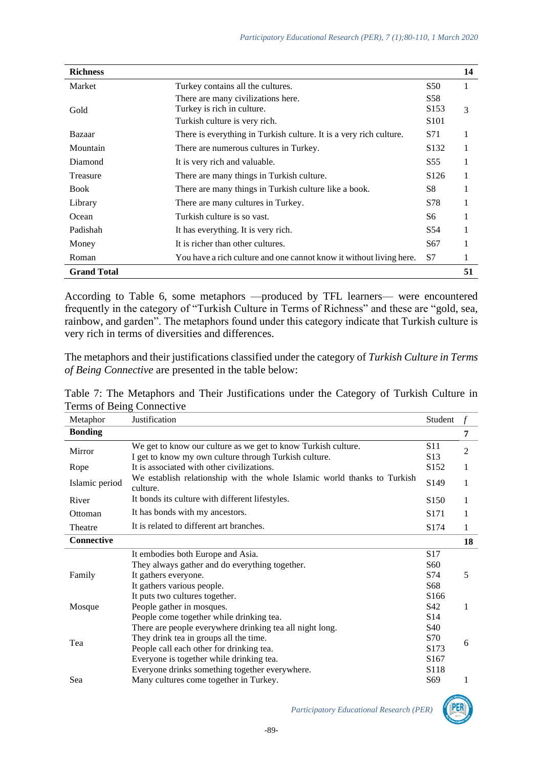| <b>Richness</b>    |                                                                     |                                     | 14 |
|--------------------|---------------------------------------------------------------------|-------------------------------------|----|
| Market             | Turkey contains all the cultures.                                   | S <sub>50</sub>                     | 1  |
| Gold               | There are many civilizations here.<br>Turkey is rich in culture.    | S <sub>58</sub><br>S <sub>153</sub> | 3  |
|                    | Turkish culture is very rich.                                       | S <sub>101</sub>                    |    |
| Bazaar             | There is everything in Turkish culture. It is a very rich culture.  | S71                                 | 1  |
| Mountain           | There are numerous cultures in Turkey.                              | S <sub>132</sub>                    |    |
| Diamond            | It is very rich and valuable.                                       | S <sub>55</sub>                     |    |
| Treasure           | There are many things in Turkish culture.                           | S <sub>126</sub>                    |    |
| <b>Book</b>        | There are many things in Turkish culture like a book.               | S8                                  |    |
| Library            | There are many cultures in Turkey.                                  | S78                                 |    |
| Ocean              | Turkish culture is so vast.                                         | S6                                  |    |
| Padishah           | It has everything. It is very rich.                                 | S <sub>54</sub>                     |    |
| Money              | It is richer than other cultures.                                   | S <sub>67</sub>                     |    |
| Roman              | You have a rich culture and one cannot know it without living here. | S7                                  | 1  |
| <b>Grand Total</b> |                                                                     |                                     | 51 |

According to Table 6, some metaphors —produced by TFL learners— were encountered frequently in the category of "Turkish Culture in Terms of Richness" and these are "gold, sea, rainbow, and garden". The metaphors found under this category indicate that Turkish culture is very rich in terms of diversities and differences.

The metaphors and their justifications classified under the category of *Turkish Culture in Terms of Being Connective* are presented in the table below:

| Metaphor          | Justification                                                                                                          | Student                            | f  |
|-------------------|------------------------------------------------------------------------------------------------------------------------|------------------------------------|----|
| <b>Bonding</b>    |                                                                                                                        |                                    | 7  |
| Mirror            | We get to know our culture as we get to know Turkish culture.<br>I get to know my own culture through Turkish culture. | S <sub>11</sub><br>S <sub>13</sub> | 2  |
| Rope              | It is associated with other civilizations.                                                                             | S <sub>152</sub>                   | 1  |
| Islamic period    | We establish relationship with the whole Islamic world thanks to Turkish<br>culture.                                   | S <sub>149</sub>                   | 1  |
| River             | It bonds its culture with different lifestyles.                                                                        | S <sub>150</sub>                   | 1  |
| Ottoman           | It has bonds with my ancestors.                                                                                        | S <sub>171</sub>                   | 1  |
| Theatre           | It is related to different art branches.                                                                               | S174                               | 1  |
| <b>Connective</b> |                                                                                                                        |                                    | 18 |
|                   | It embodies both Europe and Asia.                                                                                      | S <sub>17</sub>                    |    |
|                   | They always gather and do everything together.                                                                         | S <sub>60</sub>                    |    |
| Family            | It gathers everyone.                                                                                                   | S74                                | 5  |
|                   | It gathers various people.                                                                                             | S <sub>68</sub>                    |    |
|                   | It puts two cultures together.                                                                                         | S <sub>166</sub>                   |    |
| Mosque            | People gather in mosques.                                                                                              | S <sub>42</sub>                    | 1  |
|                   | People come together while drinking tea.                                                                               | S <sub>14</sub>                    |    |
|                   | There are people everywhere drinking tea all night long.                                                               | S40                                |    |
| Tea               | They drink tea in groups all the time.                                                                                 | S70                                | 6  |
|                   | People call each other for drinking tea.                                                                               | S <sub>173</sub>                   |    |
|                   | Everyone is together while drinking tea.                                                                               | S <sub>167</sub>                   |    |
|                   | Everyone drinks something together everywhere.                                                                         | S <sub>118</sub>                   |    |
| Sea               | Many cultures come together in Turkey.                                                                                 | S <sub>69</sub>                    | 1  |

Table 7: The Metaphors and Their Justifications under the Category of Turkish Culture in Terms of Being Connective

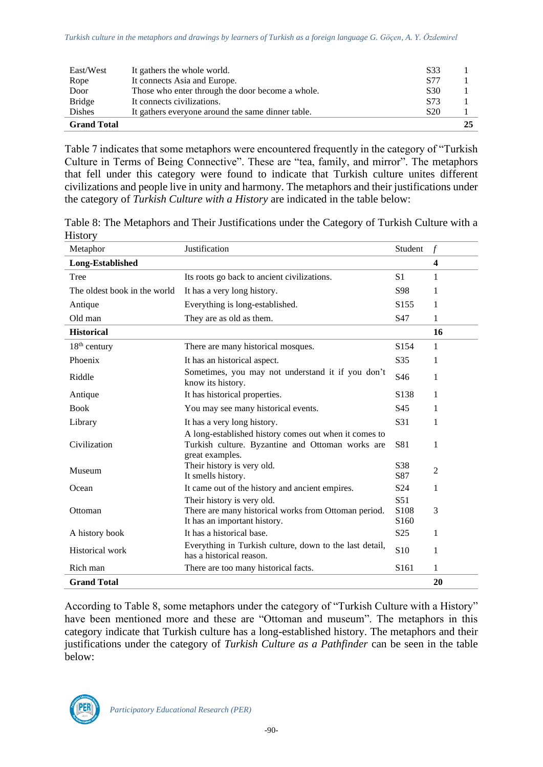| <b>Grand Total</b> |                                                   |                 | 25 |
|--------------------|---------------------------------------------------|-----------------|----|
| <b>Dishes</b>      | It gathers everyone around the same dinner table. | S <sub>20</sub> |    |
| <b>Bridge</b>      | It connects civilizations.                        | S73             |    |
| Door               | Those who enter through the door become a whole.  | S <sub>30</sub> |    |
| Rope               | It connects Asia and Europe.                      | S77             |    |
| East/West          | It gathers the whole world.                       | S <sub>33</sub> |    |

Table 7 indicates that some metaphors were encountered frequently in the category of "Turkish Culture in Terms of Being Connective". These are "tea, family, and mirror". The metaphors that fell under this category were found to indicate that Turkish culture unites different civilizations and people live in unity and harmony. The metaphors and their justifications under the category of *Turkish Culture with a History* are indicated in the table below:

Table 8: The Metaphors and Their Justifications under the Category of Turkish Culture with a History

| Metaphor                     | Justification                                                                                                                | Student                         | f  |
|------------------------------|------------------------------------------------------------------------------------------------------------------------------|---------------------------------|----|
| <b>Long-Established</b>      |                                                                                                                              |                                 | 4  |
| Tree                         | Its roots go back to ancient civilizations.                                                                                  | S <sub>1</sub>                  | 1  |
| The oldest book in the world | It has a very long history.                                                                                                  | S98                             |    |
| Antique                      | Everything is long-established.                                                                                              | S <sub>155</sub>                | 1  |
| Old man                      | They are as old as them.                                                                                                     | S47                             | 1  |
| <b>Historical</b>            |                                                                                                                              |                                 | 16 |
| $18th$ century               | There are many historical mosques.                                                                                           | S <sub>154</sub>                | 1  |
| Phoenix                      | It has an historical aspect.                                                                                                 | S35                             | 1  |
| Riddle                       | Sometimes, you may not understand it if you don't<br>know its history.                                                       | S <sub>46</sub>                 | 1  |
| Antique                      | It has historical properties.                                                                                                | S <sub>138</sub>                | 1  |
| <b>Book</b>                  | You may see many historical events.                                                                                          | S <sub>45</sub>                 | 1  |
| Library                      | It has a very long history.                                                                                                  | S31                             | 1  |
| Civilization                 | A long-established history comes out when it comes to<br>Turkish culture. Byzantine and Ottoman works are<br>great examples. | S81                             | 1  |
| Museum                       | Their history is very old.<br>It smells history.                                                                             | S <sub>38</sub><br>S87          | 2  |
| Ocean                        | It came out of the history and ancient empires.                                                                              | S <sub>24</sub>                 | 1  |
| Ottoman                      | Their history is very old.<br>There are many historical works from Ottoman period.<br>It has an important history.           | S51<br>S <sub>108</sub><br>S160 | 3  |
| A history book               | It has a historical base.                                                                                                    | S <sub>25</sub>                 | 1  |
| <b>Historical</b> work       | Everything in Turkish culture, down to the last detail,<br>has a historical reason.                                          | S <sub>10</sub>                 | 1  |
| Rich man                     | There are too many historical facts.                                                                                         | S <sub>161</sub>                | 1  |
| <b>Grand Total</b>           |                                                                                                                              |                                 | 20 |

According to Table 8, some metaphors under the category of "Turkish Culture with a History" have been mentioned more and these are "Ottoman and museum". The metaphors in this category indicate that Turkish culture has a long-established history. The metaphors and their justifications under the category of *Turkish Culture as a Pathfinder* can be seen in the table below:

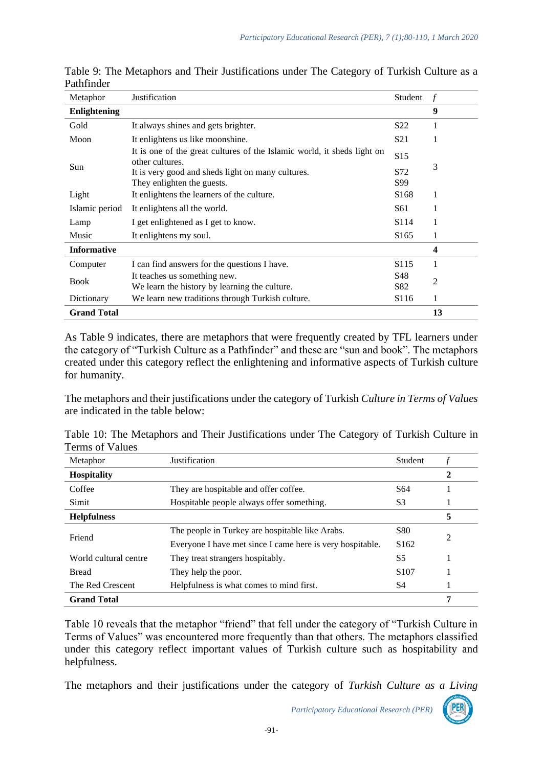| Metaphor            | Justification                                                                              | Student          | f                |
|---------------------|--------------------------------------------------------------------------------------------|------------------|------------------|
| <b>Enlightening</b> |                                                                                            |                  | 9                |
| Gold                | It always shines and gets brighter.                                                        | S <sub>22</sub>  | 1                |
| Moon                | It enlightens us like moonshine.                                                           | S <sub>21</sub>  | 1                |
|                     | It is one of the great cultures of the Islamic world, it sheds light on<br>other cultures. | S <sub>15</sub>  |                  |
| Sun                 | It is very good and sheds light on many cultures.<br>They enlighten the guests.            | S72<br>S99       | 3                |
| Light               | It enlightens the learners of the culture.                                                 | S <sub>168</sub> | 1                |
| Islamic period      | It enlightens all the world.                                                               | S <sub>61</sub>  |                  |
| Lamp                | I get enlightened as I get to know.                                                        | S <sub>114</sub> | 1                |
| Music               | It enlightens my soul.                                                                     | S <sub>165</sub> | 1                |
| <b>Informative</b>  |                                                                                            |                  | $\boldsymbol{4}$ |
| Computer            | I can find answers for the questions I have.                                               | S <sub>115</sub> | 1                |
| Book                | It teaches us something new.<br>We learn the history by learning the culture.              | S48<br>S82       | 2                |
| Dictionary          | We learn new traditions through Turkish culture.                                           | S <sub>116</sub> | 1                |
| <b>Grand Total</b>  |                                                                                            |                  | 13               |

Table 9: The Metaphors and Their Justifications under The Category of Turkish Culture as a Pathfinder

As Table 9 indicates, there are metaphors that were frequently created by TFL learners under the category of "Turkish Culture as a Pathfinder" and these are "sun and book". The metaphors created under this category reflect the enlightening and informative aspects of Turkish culture for humanity.

The metaphors and their justifications under the category of Turkish *Culture in Terms of Values* are indicated in the table below:

|                 |  |  | Table 10: The Metaphors and Their Justifications under The Category of Turkish Culture in |  |  |  |  |
|-----------------|--|--|-------------------------------------------------------------------------------------------|--|--|--|--|
| Terms of Values |  |  |                                                                                           |  |  |  |  |

| Metaphor              | Justification                                             | <b>Student</b>   |   |
|-----------------------|-----------------------------------------------------------|------------------|---|
| <b>Hospitality</b>    |                                                           |                  | 2 |
| Coffee                | They are hospitable and offer coffee.                     | S <sub>64</sub>  |   |
| Simit                 | Hospitable people always offer something.                 | S3               |   |
| <b>Helpfulness</b>    |                                                           |                  | 5 |
|                       | The people in Turkey are hospitable like Arabs.           | <b>S80</b>       | 2 |
| Friend                | Everyone I have met since I came here is very hospitable. | S <sub>162</sub> |   |
| World cultural centre | They treat strangers hospitably.                          | S5               |   |
| <b>Bread</b>          | They help the poor.                                       | S <sub>107</sub> |   |
| The Red Crescent      | Helpfulness is what comes to mind first.                  | S4               |   |
| <b>Grand Total</b>    |                                                           |                  | 7 |

Table 10 reveals that the metaphor "friend" that fell under the category of "Turkish Culture in Terms of Values" was encountered more frequently than that others. The metaphors classified under this category reflect important values of Turkish culture such as hospitability and helpfulness.

The metaphors and their justifications under the category of *Turkish Culture as a Living* 

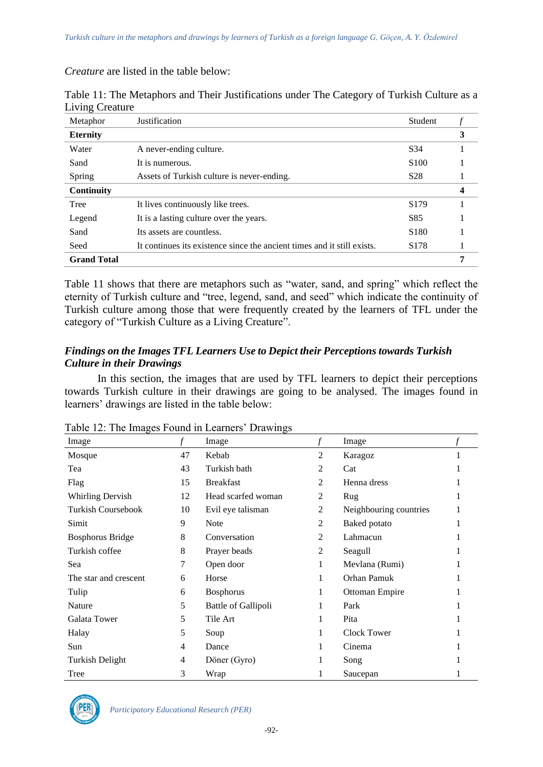#### *Creature* are listed in the table below:

| Metaphor           | Justification                                                           | Student          |   |
|--------------------|-------------------------------------------------------------------------|------------------|---|
| <b>Eternity</b>    |                                                                         |                  | 3 |
| Water              | A never-ending culture.                                                 | S <sub>34</sub>  |   |
| Sand               | It is numerous.                                                         | S <sub>100</sub> |   |
| Spring             | Assets of Turkish culture is never-ending.                              | S <sub>28</sub>  |   |
| Continuity         |                                                                         |                  | 4 |
| Tree               | It lives continuously like trees.                                       | S <sub>179</sub> |   |
| Legend             | It is a lasting culture over the years.                                 | S85              |   |
| Sand               | Its assets are countless.                                               | S <sub>180</sub> |   |
| Seed               | It continues its existence since the ancient times and it still exists. | S <sub>178</sub> |   |
| <b>Grand Total</b> |                                                                         |                  | 7 |

Table 11: The Metaphors and Their Justifications under The Category of Turkish Culture as a Living Creature

Table 11 shows that there are metaphors such as "water, sand, and spring" which reflect the eternity of Turkish culture and "tree, legend, sand, and seed" which indicate the continuity of Turkish culture among those that were frequently created by the learners of TFL under the category of "Turkish Culture as a Living Creature".

## *Findings on the Images TFL Learners Use to Depict their Perceptions towards Turkish Culture in their Drawings*

In this section, the images that are used by TFL learners to depict their perceptions towards Turkish culture in their drawings are going to be analysed. The images found in learners' drawings are listed in the table below:

| $\frac{1}{2}$             |                | $\frac{1}{2}$ . $\frac{1}{2}$ . $\frac{1}{2}$ . $\frac{1}{2}$ . $\frac{1}{2}$ . $\frac{1}{2}$ . $\frac{1}{2}$ |                |                        |  |
|---------------------------|----------------|---------------------------------------------------------------------------------------------------------------|----------------|------------------------|--|
| Image                     |                | Image                                                                                                         | f              | Image                  |  |
| Mosque                    | 47             | Kebab                                                                                                         | 2              | Karagoz                |  |
| Tea                       | 43             | Turkish bath                                                                                                  | 2              | Cat                    |  |
| Flag                      | 15             | <b>Breakfast</b>                                                                                              | 2              | Henna dress            |  |
| Whirling Dervish          | 12             | Head scarfed woman                                                                                            | 2              | Rug                    |  |
| <b>Turkish Coursebook</b> | 10             | Evil eye talisman                                                                                             | 2              | Neighbouring countries |  |
| Simit                     | 9              | <b>Note</b>                                                                                                   | 2              | Baked potato           |  |
| <b>Bosphorus Bridge</b>   | 8              | Conversation                                                                                                  | 2              | Lahmacun               |  |
| Turkish coffee            | 8              | Prayer beads                                                                                                  | $\overline{c}$ | Seagull                |  |
| Sea                       | 7              | Open door                                                                                                     | 1              | Mevlana (Rumi)         |  |
| The star and crescent     | 6              | Horse                                                                                                         | 1              | Orhan Pamuk            |  |
| Tulip                     | 6              | <b>Bosphorus</b>                                                                                              | 1              | <b>Ottoman Empire</b>  |  |
| Nature                    | 5              | <b>Battle of Gallipoli</b>                                                                                    | 1              | Park                   |  |
| Galata Tower              | 5              | Tile Art                                                                                                      |                | Pita                   |  |
| Halay                     | 5              | Soup                                                                                                          |                | <b>Clock Tower</b>     |  |
| Sun                       | $\overline{4}$ | Dance                                                                                                         |                | Cinema                 |  |
| <b>Turkish Delight</b>    | 4              | Döner (Gyro)                                                                                                  | 1              | Song                   |  |
| Tree                      | 3              | Wrap                                                                                                          | 1              | Saucepan               |  |

Table 12: The Images Found in Learners' Drawings

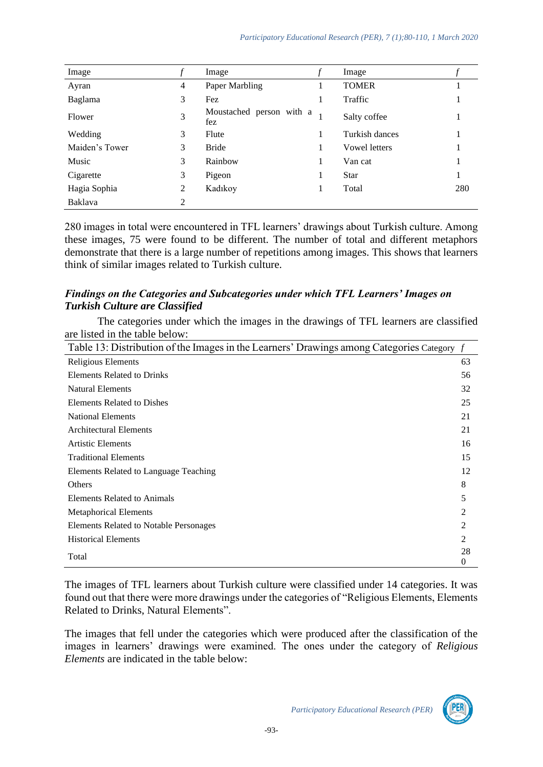| Image          |   | Image                           |   | Image                |     |
|----------------|---|---------------------------------|---|----------------------|-----|
| Ayran          | 4 | Paper Marbling                  |   | <b>TOMER</b>         |     |
| Baglama        | 3 | Fez                             | 1 | Traffic              |     |
| Flower         | 3 | Moustached person with a<br>fez |   | Salty coffee         |     |
| Wedding        | 3 | Flute                           |   | Turkish dances       |     |
| Maiden's Tower | 3 | <b>Bride</b>                    | 1 | <b>Vowel letters</b> |     |
| Music          | 3 | Rainbow                         | 1 | Van cat              |     |
| Cigarette      | 3 | Pigeon                          | 1 | <b>Star</b>          |     |
| Hagia Sophia   | 2 | Kadıkoy                         | 1 | Total                | 280 |
| Baklava        | 2 |                                 |   |                      |     |

280 images in total were encountered in TFL learners' drawings about Turkish culture. Among these images, 75 were found to be different. The number of total and different metaphors demonstrate that there is a large number of repetitions among images. This shows that learners think of similar images related to Turkish culture.

### *Findings on the Categories and Subcategories under which TFL Learners' Images on Turkish Culture are Classified*

The categories under which the images in the drawings of TFL learners are classified are listed in the table below:

| Table 13: Distribution of the Images in the Learners' Drawings among Categories Category f |                |
|--------------------------------------------------------------------------------------------|----------------|
| Religious Elements                                                                         | 63             |
| <b>Elements Related to Drinks</b>                                                          | 56             |
| <b>Natural Elements</b>                                                                    | 32             |
| Elements Related to Dishes                                                                 | 25             |
| <b>National Elements</b>                                                                   | 21             |
| <b>Architectural Elements</b>                                                              | 21             |
| <b>Artistic Elements</b>                                                                   | 16             |
| <b>Traditional Elements</b>                                                                | 15             |
| Elements Related to Language Teaching                                                      | 12             |
| Others                                                                                     | 8              |
| <b>Elements Related to Animals</b>                                                         | 5              |
| <b>Metaphorical Elements</b>                                                               | 2              |
| <b>Elements Related to Notable Personages</b>                                              | 2              |
| <b>Historical Elements</b>                                                                 | $\overline{2}$ |
| Total                                                                                      | 28             |
|                                                                                            | 0              |

The images of TFL learners about Turkish culture were classified under 14 categories. It was found out that there were more drawings under the categories of "Religious Elements, Elements Related to Drinks, Natural Elements".

The images that fell under the categories which were produced after the classification of the images in learners' drawings were examined. The ones under the category of *Religious Elements* are indicated in the table below:

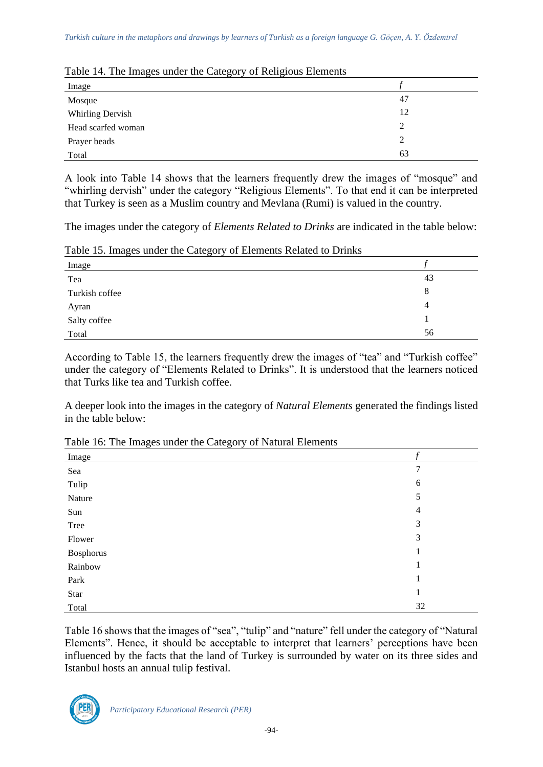| Tuble 1.1. The linguo and the early of Rengtons Elements |    |  |  |  |
|----------------------------------------------------------|----|--|--|--|
| Image                                                    |    |  |  |  |
| Mosque                                                   | 47 |  |  |  |
| <b>Whirling Dervish</b>                                  | 12 |  |  |  |
| Head scarfed woman                                       |    |  |  |  |
| Prayer beads                                             |    |  |  |  |
| Total                                                    | 63 |  |  |  |

Table 14. The Images under the Category of Religious Elements

A look into Table 14 shows that the learners frequently drew the images of "mosque" and "whirling dervish" under the category "Religious Elements". To that end it can be interpreted that Turkey is seen as a Muslim country and Mevlana (Rumi) is valued in the country.

The images under the category of *Elements Related to Drinks* are indicated in the table below:

Table 15. Images under the Category of Elements Related to Drinks

| Image          |    |
|----------------|----|
| Tea            | 43 |
| Turkish coffee | 8  |
| Ayran          |    |
| Salty coffee   |    |
| Total          | 56 |

According to Table 15, the learners frequently drew the images of "tea" and "Turkish coffee" under the category of "Elements Related to Drinks". It is understood that the learners noticed that Turks like tea and Turkish coffee.

A deeper look into the images in the category of *Natural Elements* generated the findings listed in the table below:

| Image     | $\boldsymbol{f}$ |
|-----------|------------------|
| Sea       | 7                |
| Tulip     | $\boldsymbol{6}$ |
| Nature    | 5                |
| Sun       | $\overline{4}$   |
| Tree      | $\mathfrak{Z}$   |
| Flower    | $\mathfrak{Z}$   |
| Bosphorus | 1                |
| Rainbow   | $\mathbf{1}$     |
| Park      | $\mathbf{1}$     |
| Star      | $\mathbf 1$      |
| Total     | 32               |

Table 16: The Images under the Category of Natural Elements

Table 16 shows that the images of "sea", "tulip" and "nature" fell under the category of "Natural Elements". Hence, it should be acceptable to interpret that learners' perceptions have been influenced by the facts that the land of Turkey is surrounded by water on its three sides and Istanbul hosts an annual tulip festival.

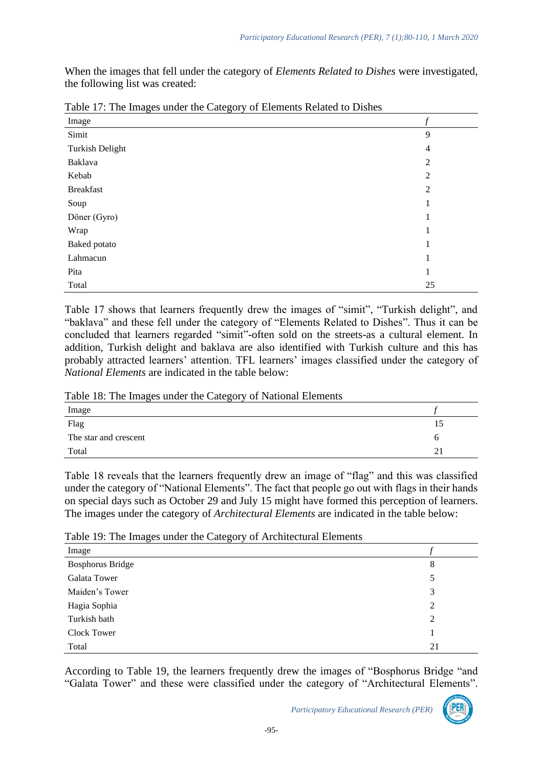When the images that fell under the category of *Elements Related to Dishes* were investigated, the following list was created:

| Image                  | $\mathcal{L}$  |
|------------------------|----------------|
| Simit                  | 9              |
| <b>Turkish Delight</b> | $\overline{4}$ |
| Baklava                | $\overline{2}$ |
| Kebab                  | $\overline{2}$ |
| <b>Breakfast</b>       | $\overline{2}$ |
| Soup                   | 1<br>1         |
| Döner (Gyro)           | 1              |
| Wrap                   | 1              |
| <b>Baked</b> potato    | 1              |
| Lahmacun               | 1<br>1         |
| Pita                   | 1<br>$\bf{r}$  |
| Total                  | 25             |

Table 17: The Images under the Category of Elements Related to Dishes

Table 17 shows that learners frequently drew the images of "simit", "Turkish delight", and "baklava" and these fell under the category of "Elements Related to Dishes". Thus it can be concluded that learners regarded "simit"-often sold on the streets-as a cultural element. In addition, Turkish delight and baklava are also identified with Turkish culture and this has probably attracted learners' attention. TFL learners' images classified under the category of *National Elements* are indicated in the table below:

Table 18: The Images under the Category of National Elements

| Image                 |     |
|-----------------------|-----|
| Flag                  | ⊥ J |
| The star and crescent |     |
| Total                 |     |

Table 18 reveals that the learners frequently drew an image of "flag" and this was classified under the category of "National Elements". The fact that people go out with flags in their hands on special days such as October 29 and July 15 might have formed this perception of learners. The images under the category of *Architectural Elements* are indicated in the table below:

| Table 19: The Images under the Category of Architectural Elements |
|-------------------------------------------------------------------|
|-------------------------------------------------------------------|

| Image                   |    |
|-------------------------|----|
| <b>Bosphorus Bridge</b> | 8  |
| Galata Tower            | 5  |
| Maiden's Tower          | 3  |
| Hagia Sophia            | 2  |
| Turkish bath            | 2  |
| Clock Tower             |    |
| Total                   | 21 |

According to Table 19, the learners frequently drew the images of "Bosphorus Bridge "and "Galata Tower" and these were classified under the category of "Architectural Elements".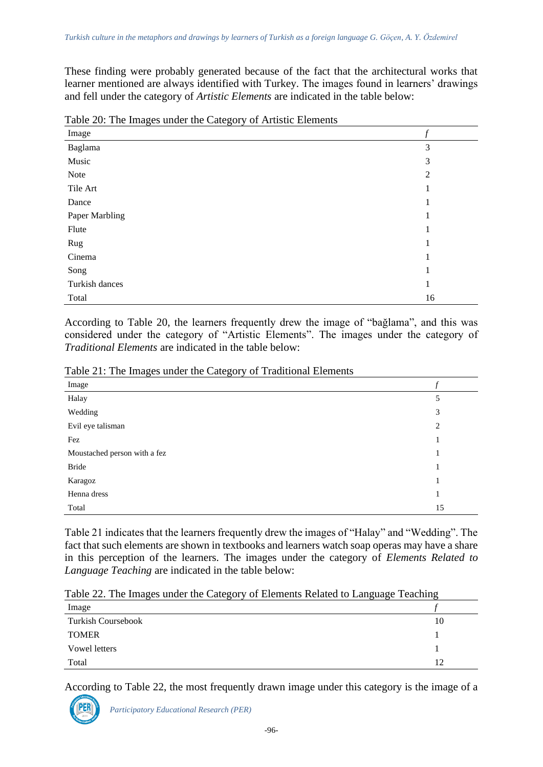These finding were probably generated because of the fact that the architectural works that learner mentioned are always identified with Turkey. The images found in learners' drawings and fell under the category of *Artistic Elements* are indicated in the table below:

| ۔ ت<br>$\sim$ $\sim$ $\sim$ $\sim$ $\sim$<br>$\sim$<br>$\sim$ $\sim$ $\sim$ $\sim$ |                |
|------------------------------------------------------------------------------------|----------------|
| Image                                                                              |                |
| Baglama                                                                            | 3              |
| Music                                                                              | 3              |
| Note                                                                               | $\mathfrak{2}$ |
| Tile Art                                                                           | 1              |
| Dance                                                                              | л.             |
| Paper Marbling                                                                     | 1              |
| Flute                                                                              | 1              |
| Rug                                                                                | 1              |
| Cinema                                                                             | 1              |
| Song                                                                               | 1              |
| Turkish dances                                                                     | 1              |
| Total                                                                              | 16             |

Table 20: The Images under the Category of Artistic Elements

According to Table 20, the learners frequently drew the image of "bağlama", and this was considered under the category of "Artistic Elements". The images under the category of *Traditional Elements* are indicated in the table below:

| Table 21: The Images under the Category of Traditional Elements |  |
|-----------------------------------------------------------------|--|
|                                                                 |  |
| Imana                                                           |  |

| Image                        |              |
|------------------------------|--------------|
| Halay                        | 5            |
| Wedding                      | 3            |
| Evil eye talisman            | 2            |
| Fez                          |              |
| Moustached person with a fez |              |
| Bride                        |              |
| Karagoz                      | 1            |
| Henna dress                  | $\mathbf{1}$ |
| Total                        | 15           |

Table 21 indicates that the learners frequently drew the images of "Halay" and "Wedding". The fact that such elements are shown in textbooks and learners watch soap operas may have a share in this perception of the learners. The images under the category of *Elements Related to Language Teaching* are indicated in the table below:

Table 22. The Images under the Category of Elements Related to Language Teaching

| Image                     |    |
|---------------------------|----|
| <b>Turkish Coursebook</b> | 10 |
| <b>TOMER</b>              |    |
| Vowel letters             |    |
| Total                     | 12 |

According to Table 22, the most frequently drawn image under this category is the image of a

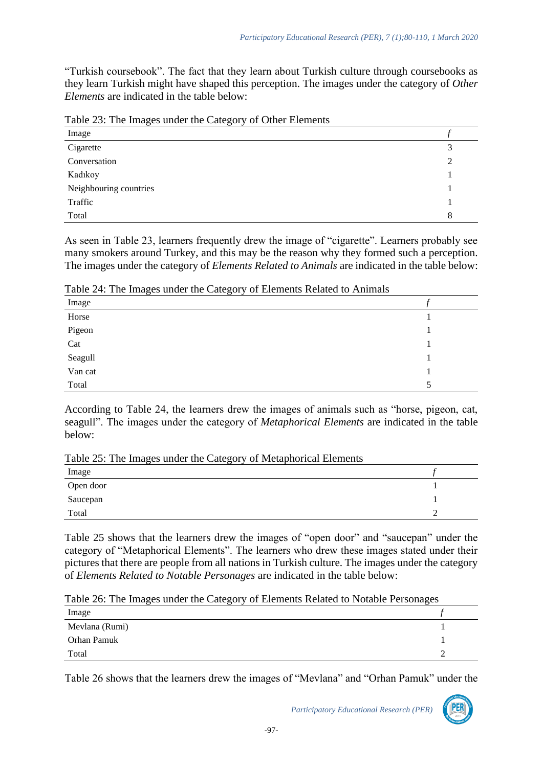"Turkish coursebook". The fact that they learn about Turkish culture through coursebooks as they learn Turkish might have shaped this perception. The images under the category of *Other Elements* are indicated in the table below:

Table 23: The Images under the Category of Other Elements

| Image                  |   |
|------------------------|---|
| Cigarette              | 3 |
| Conversation           | 2 |
| Kadıkoy                |   |
| Neighbouring countries |   |
| Traffic                |   |
| Total                  | 8 |

As seen in Table 23, learners frequently drew the image of "cigarette". Learners probably see many smokers around Turkey, and this may be the reason why they formed such a perception. The images under the category of *Elements Related to Animals* are indicated in the table below:

Table 24: The Images under the Category of Elements Related to Animals

| Image         |   |
|---------------|---|
| Horse         |   |
|               |   |
| Pigeon<br>Cat |   |
| Seagull       |   |
| Van cat       |   |
| Total         | 5 |

According to Table 24, the learners drew the images of animals such as "horse, pigeon, cat, seagull". The images under the category of *Metaphorical Elements* are indicated in the table below:

Table 25: The Images under the Category of Metaphorical Elements

| Image     |  |
|-----------|--|
| Open door |  |
| Saucepan  |  |
| Total     |  |

Table 25 shows that the learners drew the images of "open door" and "saucepan" under the category of "Metaphorical Elements". The learners who drew these images stated under their pictures that there are people from all nations in Turkish culture. The images under the category of *Elements Related to Notable Personages* are indicated in the table below:

Table 26: The Images under the Category of Elements Related to Notable Personages

| Image          |  |
|----------------|--|
| Mevlana (Rumi) |  |
| Orhan Pamuk    |  |
| Total          |  |

Table 26 shows that the learners drew the images of "Mevlana" and "Orhan Pamuk" under the

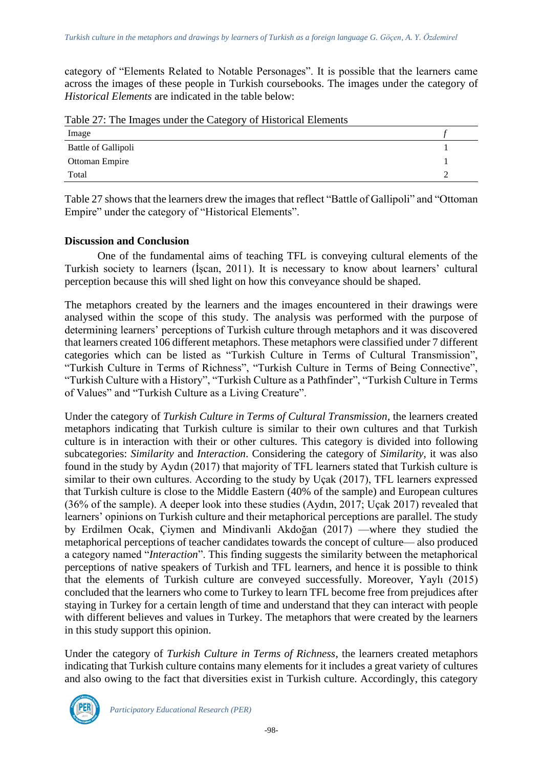category of "Elements Related to Notable Personages". It is possible that the learners came across the images of these people in Turkish coursebooks. The images under the category of *Historical Elements* are indicated in the table below:

| Table 27: The Images under the Category of Historical Elements |  |
|----------------------------------------------------------------|--|
| Image                                                          |  |
| Battle of Gallipoli                                            |  |
| Ottoman Empire                                                 |  |
| Total                                                          |  |

 $T_{\rm T}$   $T_{\rm T}$   $T_{\rm T}$   $T_{\rm T}$   $T_{\rm T}$   $T_{\rm T}$   $T_{\rm T}$   $T_{\rm T}$   $T_{\rm T}$   $T_{\rm T}$   $T_{\rm T}$   $T_{\rm T}$   $T_{\rm T}$   $T_{\rm T}$   $T_{\rm T}$   $T_{\rm T}$   $T_{\rm T}$   $T_{\rm T}$   $T_{\rm T}$   $T_{\rm T}$   $T_{\rm T}$   $T_{\rm T}$   $T_{\rm T}$   $T_{\rm T}$   $T_{\rm$ 

Table 27 shows that the learners drew the images that reflect "Battle of Gallipoli" and "Ottoman Empire" under the category of "Historical Elements".

### **Discussion and Conclusion**

One of the fundamental aims of teaching TFL is conveying cultural elements of the Turkish society to learners (İşcan, 2011). It is necessary to know about learners' cultural perception because this will shed light on how this conveyance should be shaped.

The metaphors created by the learners and the images encountered in their drawings were analysed within the scope of this study. The analysis was performed with the purpose of determining learners' perceptions of Turkish culture through metaphors and it was discovered that learners created 106 different metaphors. These metaphors were classified under 7 different categories which can be listed as "Turkish Culture in Terms of Cultural Transmission", "Turkish Culture in Terms of Richness", "Turkish Culture in Terms of Being Connective", "Turkish Culture with a History", "Turkish Culture as a Pathfinder", "Turkish Culture in Terms of Values" and "Turkish Culture as a Living Creature".

Under the category of *Turkish Culture in Terms of Cultural Transmission*, the learners created metaphors indicating that Turkish culture is similar to their own cultures and that Turkish culture is in interaction with their or other cultures. This category is divided into following subcategories: *Similarity* and *Interaction*. Considering the category of *Similarity*, it was also found in the study by Aydın (2017) that majority of TFL learners stated that Turkish culture is similar to their own cultures. According to the study by Uçak (2017), TFL learners expressed that Turkish culture is close to the Middle Eastern (40% of the sample) and European cultures (36% of the sample). A deeper look into these studies (Aydın, 2017; Uçak 2017) revealed that learners' opinions on Turkish culture and their metaphorical perceptions are parallel. The study by Erdilmen Ocak, Çiymen and Mindivanli Akdoğan (2017) —where they studied the metaphorical perceptions of teacher candidates towards the concept of culture— also produced a category named "*Interaction*". This finding suggests the similarity between the metaphorical perceptions of native speakers of Turkish and TFL learners, and hence it is possible to think that the elements of Turkish culture are conveyed successfully. Moreover, Yaylı (2015) concluded that the learners who come to Turkey to learn TFL become free from prejudices after staying in Turkey for a certain length of time and understand that they can interact with people with different believes and values in Turkey. The metaphors that were created by the learners in this study support this opinion.

Under the category of *Turkish Culture in Terms of Richness*, the learners created metaphors indicating that Turkish culture contains many elements for it includes a great variety of cultures and also owing to the fact that diversities exist in Turkish culture. Accordingly, this category

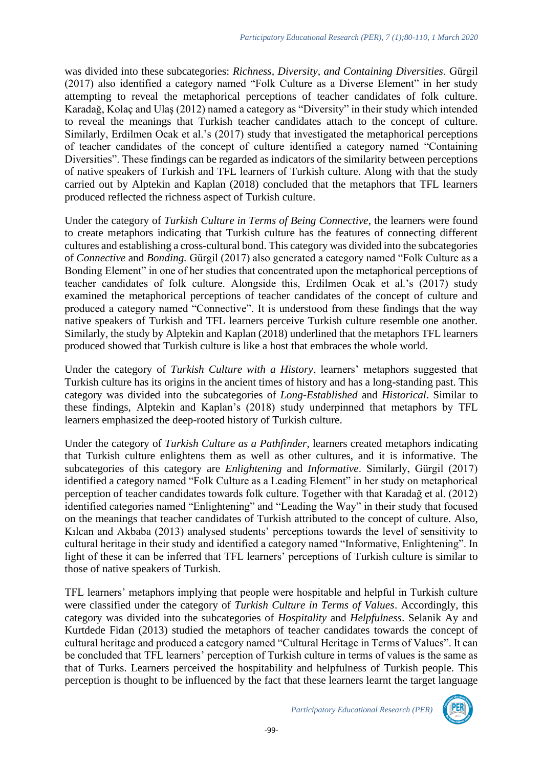was divided into these subcategories: *Richness, Diversity, and Containing Diversities*. Gürgil (2017) also identified a category named "Folk Culture as a Diverse Element" in her study attempting to reveal the metaphorical perceptions of teacher candidates of folk culture. Karadağ, Kolaç and Ulaş (2012) named a category as "Diversity" in their study which intended to reveal the meanings that Turkish teacher candidates attach to the concept of culture. Similarly, Erdilmen Ocak et al.'s (2017) study that investigated the metaphorical perceptions of teacher candidates of the concept of culture identified a category named "Containing Diversities". These findings can be regarded as indicators of the similarity between perceptions of native speakers of Turkish and TFL learners of Turkish culture. Along with that the study carried out by Alptekin and Kaplan (2018) concluded that the metaphors that TFL learners produced reflected the richness aspect of Turkish culture.

Under the category of *Turkish Culture in Terms of Being Connective*, the learners were found to create metaphors indicating that Turkish culture has the features of connecting different cultures and establishing a cross-cultural bond. This category was divided into the subcategories of *Connective* and *Bonding.* Gürgil (2017) also generated a category named "Folk Culture as a Bonding Element" in one of her studies that concentrated upon the metaphorical perceptions of teacher candidates of folk culture. Alongside this, Erdilmen Ocak et al.'s (2017) study examined the metaphorical perceptions of teacher candidates of the concept of culture and produced a category named "Connective". It is understood from these findings that the way native speakers of Turkish and TFL learners perceive Turkish culture resemble one another. Similarly, the study by Alptekin and Kaplan (2018) underlined that the metaphors TFL learners produced showed that Turkish culture is like a host that embraces the whole world.

Under the category of *Turkish Culture with a History*, learners' metaphors suggested that Turkish culture has its origins in the ancient times of history and has a long-standing past. This category was divided into the subcategories of *Long-Established* and *Historical*. Similar to these findings, Alptekin and Kaplan's (2018) study underpinned that metaphors by TFL learners emphasized the deep-rooted history of Turkish culture.

Under the category of *Turkish Culture as a Pathfinder*, learners created metaphors indicating that Turkish culture enlightens them as well as other cultures, and it is informative. The subcategories of this category are *Enlightening* and *Informative*. Similarly, Gürgil (2017) identified a category named "Folk Culture as a Leading Element" in her study on metaphorical perception of teacher candidates towards folk culture. Together with that Karadağ et al. (2012) identified categories named "Enlightening" and "Leading the Way" in their study that focused on the meanings that teacher candidates of Turkish attributed to the concept of culture. Also, Kılcan and Akbaba (2013) analysed students' perceptions towards the level of sensitivity to cultural heritage in their study and identified a category named "Informative, Enlightening". In light of these it can be inferred that TFL learners' perceptions of Turkish culture is similar to those of native speakers of Turkish.

TFL learners' metaphors implying that people were hospitable and helpful in Turkish culture were classified under the category of *Turkish Culture in Terms of Values*. Accordingly, this category was divided into the subcategories of *Hospitality* and *Helpfulness*. Selanik Ay and Kurtdede Fidan (2013) studied the metaphors of teacher candidates towards the concept of cultural heritage and produced a category named "Cultural Heritage in Terms of Values". It can be concluded that TFL learners' perception of Turkish culture in terms of values is the same as that of Turks. Learners perceived the hospitability and helpfulness of Turkish people. This perception is thought to be influenced by the fact that these learners learnt the target language

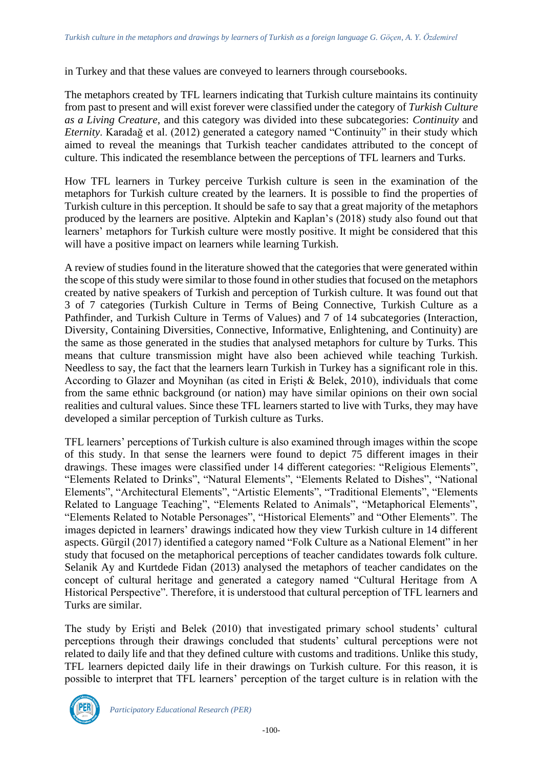in Turkey and that these values are conveyed to learners through coursebooks.

The metaphors created by TFL learners indicating that Turkish culture maintains its continuity from past to present and will exist forever were classified under the category of *Turkish Culture as a Living Creature*, and this category was divided into these subcategories: *Continuity* and *Eternity*. Karadağ et al. (2012) generated a category named "Continuity" in their study which aimed to reveal the meanings that Turkish teacher candidates attributed to the concept of culture. This indicated the resemblance between the perceptions of TFL learners and Turks.

How TFL learners in Turkey perceive Turkish culture is seen in the examination of the metaphors for Turkish culture created by the learners. It is possible to find the properties of Turkish culture in this perception. It should be safe to say that a great majority of the metaphors produced by the learners are positive. Alptekin and Kaplan's (2018) study also found out that learners' metaphors for Turkish culture were mostly positive. It might be considered that this will have a positive impact on learners while learning Turkish.

A review of studies found in the literature showed that the categories that were generated within the scope of this study were similar to those found in other studies that focused on the metaphors created by native speakers of Turkish and perception of Turkish culture. It was found out that 3 of 7 categories (Turkish Culture in Terms of Being Connective, Turkish Culture as a Pathfinder, and Turkish Culture in Terms of Values) and 7 of 14 subcategories (Interaction, Diversity, Containing Diversities, Connective, Informative, Enlightening, and Continuity) are the same as those generated in the studies that analysed metaphors for culture by Turks. This means that culture transmission might have also been achieved while teaching Turkish. Needless to say, the fact that the learners learn Turkish in Turkey has a significant role in this. According to Glazer and Moynihan (as cited in Erişti & Belek, 2010), individuals that come from the same ethnic background (or nation) may have similar opinions on their own social realities and cultural values. Since these TFL learners started to live with Turks, they may have developed a similar perception of Turkish culture as Turks.

TFL learners' perceptions of Turkish culture is also examined through images within the scope of this study. In that sense the learners were found to depict 75 different images in their drawings. These images were classified under 14 different categories: "Religious Elements", "Elements Related to Drinks", "Natural Elements", "Elements Related to Dishes", "National Elements", "Architectural Elements", "Artistic Elements", "Traditional Elements", "Elements Related to Language Teaching", "Elements Related to Animals", "Metaphorical Elements", "Elements Related to Notable Personages", "Historical Elements" and "Other Elements". The images depicted in learners' drawings indicated how they view Turkish culture in 14 different aspects. Gürgil (2017) identified a category named "Folk Culture as a National Element" in her study that focused on the metaphorical perceptions of teacher candidates towards folk culture. Selanik Ay and Kurtdede Fidan (2013) analysed the metaphors of teacher candidates on the concept of cultural heritage and generated a category named "Cultural Heritage from A Historical Perspective". Therefore, it is understood that cultural perception of TFL learners and Turks are similar.

The study by Erişti and Belek (2010) that investigated primary school students' cultural perceptions through their drawings concluded that students' cultural perceptions were not related to daily life and that they defined culture with customs and traditions. Unlike this study, TFL learners depicted daily life in their drawings on Turkish culture. For this reason, it is possible to interpret that TFL learners' perception of the target culture is in relation with the

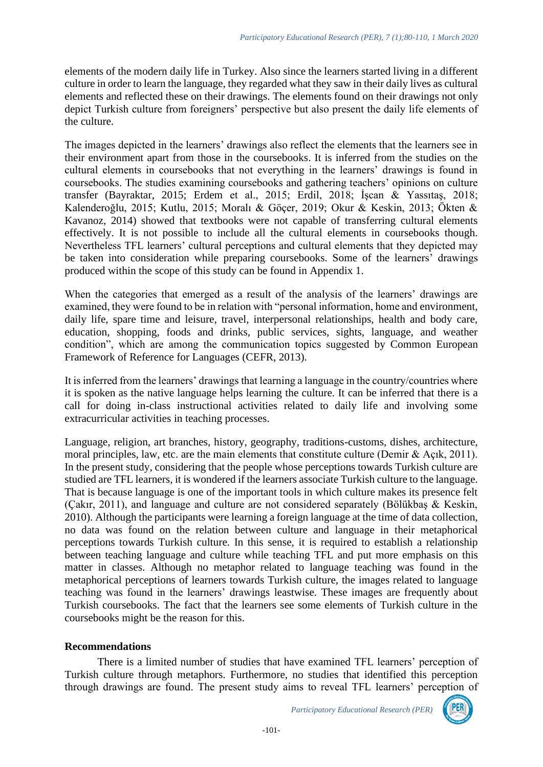elements of the modern daily life in Turkey. Also since the learners started living in a different culture in order to learn the language, they regarded what they saw in their daily lives as cultural elements and reflected these on their drawings. The elements found on their drawings not only depict Turkish culture from foreigners' perspective but also present the daily life elements of the culture.

The images depicted in the learners' drawings also reflect the elements that the learners see in their environment apart from those in the coursebooks. It is inferred from the studies on the cultural elements in coursebooks that not everything in the learners' drawings is found in coursebooks. The studies examining coursebooks and gathering teachers' opinions on culture transfer (Bayraktar, 2015; Erdem et al., 2015; Erdil, 2018; İşcan & Yassıtaş, 2018; Kalenderoğlu, 2015; Kutlu, 2015; Moralı & Göçer, 2019; Okur & Keskin, 2013; Ökten & Kavanoz, 2014) showed that textbooks were not capable of transferring cultural elements effectively. It is not possible to include all the cultural elements in coursebooks though. Nevertheless TFL learners' cultural perceptions and cultural elements that they depicted may be taken into consideration while preparing coursebooks. Some of the learners' drawings produced within the scope of this study can be found in Appendix 1.

When the categories that emerged as a result of the analysis of the learners' drawings are examined, they were found to be in relation with "personal information, home and environment, daily life, spare time and leisure, travel, interpersonal relationships, health and body care, education, shopping, foods and drinks, public services, sights, language, and weather condition", which are among the communication topics suggested by Common European Framework of Reference for Languages (CEFR, 2013).

It is inferred from the learners' drawings that learning a language in the country/countries where it is spoken as the native language helps learning the culture. It can be inferred that there is a call for doing in-class instructional activities related to daily life and involving some extracurricular activities in teaching processes.

Language, religion, art branches, history, geography, traditions-customs, dishes, architecture, moral principles, law, etc. are the main elements that constitute culture (Demir & Açık, 2011). In the present study, considering that the people whose perceptions towards Turkish culture are studied are TFL learners, it is wondered if the learners associate Turkish culture to the language. That is because language is one of the important tools in which culture makes its presence felt (Çakır, 2011), and language and culture are not considered separately (Bölükbaş & Keskin, 2010). Although the participants were learning a foreign language at the time of data collection, no data was found on the relation between culture and language in their metaphorical perceptions towards Turkish culture. In this sense, it is required to establish a relationship between teaching language and culture while teaching TFL and put more emphasis on this matter in classes. Although no metaphor related to language teaching was found in the metaphorical perceptions of learners towards Turkish culture, the images related to language teaching was found in the learners' drawings leastwise. These images are frequently about Turkish coursebooks. The fact that the learners see some elements of Turkish culture in the coursebooks might be the reason for this.

### **Recommendations**

There is a limited number of studies that have examined TFL learners' perception of Turkish culture through metaphors. Furthermore, no studies that identified this perception through drawings are found. The present study aims to reveal TFL learners' perception of

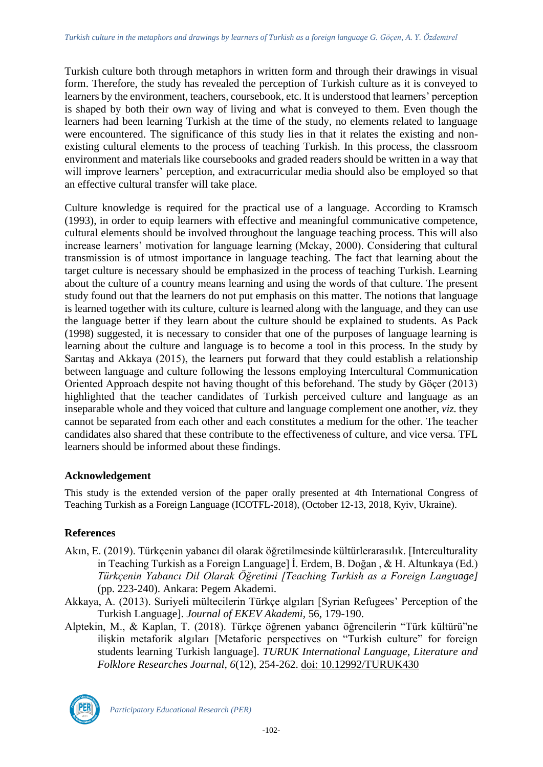Turkish culture both through metaphors in written form and through their drawings in visual form. Therefore, the study has revealed the perception of Turkish culture as it is conveyed to learners by the environment, teachers, coursebook, etc. It is understood that learners' perception is shaped by both their own way of living and what is conveyed to them. Even though the learners had been learning Turkish at the time of the study, no elements related to language were encountered. The significance of this study lies in that it relates the existing and nonexisting cultural elements to the process of teaching Turkish. In this process, the classroom environment and materials like coursebooks and graded readers should be written in a way that will improve learners' perception, and extracurricular media should also be employed so that an effective cultural transfer will take place.

Culture knowledge is required for the practical use of a language. According to Kramsch (1993), in order to equip learners with effective and meaningful communicative competence, cultural elements should be involved throughout the language teaching process. This will also increase learners' motivation for language learning (Mckay, 2000). Considering that cultural transmission is of utmost importance in language teaching. The fact that learning about the target culture is necessary should be emphasized in the process of teaching Turkish. Learning about the culture of a country means learning and using the words of that culture. The present study found out that the learners do not put emphasis on this matter. The notions that language is learned together with its culture, culture is learned along with the language, and they can use the language better if they learn about the culture should be explained to students. As Pack (1998) suggested, it is necessary to consider that one of the purposes of language learning is learning about the culture and language is to become a tool in this process. In the study by Sarıtaş and Akkaya (2015), the learners put forward that they could establish a relationship between language and culture following the lessons employing Intercultural Communication Oriented Approach despite not having thought of this beforehand. The study by Göçer (2013) highlighted that the teacher candidates of Turkish perceived culture and language as an inseparable whole and they voiced that culture and language complement one another, *viz.* they cannot be separated from each other and each constitutes a medium for the other. The teacher candidates also shared that these contribute to the effectiveness of culture, and vice versa. TFL learners should be informed about these findings.

### **Acknowledgement**

This study is the extended version of the paper orally presented at 4th International Congress of Teaching Turkish as a Foreign Language (ICOTFL-2018), (October 12-13, 2018, Kyiv, Ukraine).

### **References**

- Akın, E. (2019). Türkçenin yabancı dil olarak öğretilmesinde kültürlerarasılık. [Interculturality in Teaching Turkish as a Foreign Language] İ. Erdem, B. Doğan , & H. Altunkaya (Ed.) *Türkçenin Yabancı Dil Olarak Öğretimi [Teaching Turkish as a Foreign Language]* (pp. 223-240). Ankara: Pegem Akademi.
- Akkaya, A. (2013). Suriyeli mültecilerin Türkçe algıları [Syrian Refugees' Perception of the Turkish Language]. *Journal of EKEV Akademi,* 56, 179-190.
- Alptekin, M., & Kaplan, T. (2018). Türkçe öğrenen yabancı öğrencilerin "Türk kültürü"ne ilişkin metaforik algıları [Metaforic perspectives on "Turkish culture" for foreign students learning Turkish language]. *TURUK International Language, Literature and Folklore Researches Journal*, *6*(12), 254-262. [doi: 10.12992/TURUK430](http://dx.doi.org/10.12992/TURUK430)

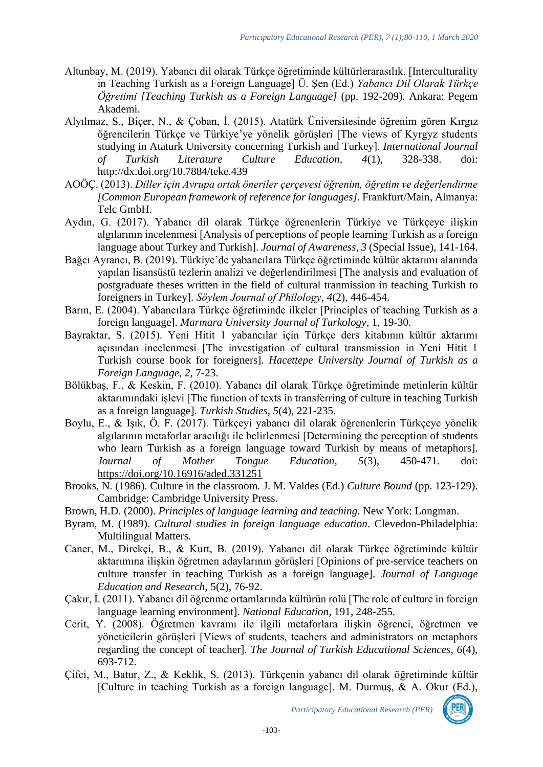- Altunbay, M. (2019). Yabancı dil olarak Türkçe öğretiminde kültürlerarasılık. [Interculturality in Teaching Turkish as a Foreign Language] Ü. Şen (Ed.) *Yabancı Dil Olarak Türkçe Öğretimi [Teaching Turkish as a Foreign Language]* (pp. 192-209). Ankara: Pegem Akademi.
- Alyılmaz, S., Biçer, N., & Çoban, İ. (2015). Atatürk Üniversitesinde öğrenim gören Kırgız öğrencilerin Türkçe ve Türkiye'ye yönelik görüşleri [The views of Kyrgyz students studying in Ataturk University concerning Turkish and Turkey]. *International Journal of Turkish Literature Culture Education, 4*(1), 328-338. doi: http://dx.doi.org/10.7884/teke.439
- AOÖÇ. (2013). *Diller için Avrupa ortak öneriler çerçevesi öğrenim, öğretim ve değerlendirme [Common European framework of reference for languages].* Frankfurt/Main, Almanya: Telc GmbH.
- Aydın, G. (2017). Yabancı dil olarak Türkçe öğrenenlerin Türkiye ve Türkçeye ilişkin algılarının incelenmesi [Analysis of perceptions of people learning Turkish as a foreign language about Turkey and Turkish]. *Journal of Awareness, 3* (Special Issue), 141-164.
- Bağcı Ayrancı, B. (2019). Türkiye'de yabancılara Türkçe öğretiminde kültür aktarımı alanında yapılan lisansüstü tezlerin analizi ve değerlendirilmesi [The analysis and evaluation of postgraduate theses written in the field of cultural tranmission in teaching Turkish to foreigners in Turkey]. *Söylem Journal of Philology*, *4*(2), 446-454.
- Barın, E. (2004). Yabancılara Türkçe öğretiminde ilkeler [Principles of teaching Turkish as a foreign language]. *Marmara University Journal of Turkology*, 1, 19-30.
- Bayraktar, S. (2015). Yeni Hitit 1 yabancılar için Türkçe ders kitabının kültür aktarımı açısından incelenmesi [The investigation of cultural transmission in Yeni Hitit 1 Turkish course book for foreigners]. *Hacettepe University Journal of Turkish as a Foreign Language, 2*, 7-23.
- Bölükbaş, F., & Keskin, F. (2010). Yabancı dil olarak Türkçe öğretiminde metinlerin kültür aktarımındaki işlevi [The function of texts in transferring of culture in teaching Turkish as a foreign language]. *Turkish Studies, 5*(4), 221-235.
- Boylu, E., & Işık, Ö. F. (2017). Türkçeyi yabancı dil olarak öğrenenlerin Türkçeye yönelik algılarının metaforlar aracılığı ile belirlenmesi [Determining the perception of students who learn Turkish as a foreign language toward Turkish by means of metaphors]. *Journal of Mother Tongue Education, 5*(3), 450-471. doi: <https://doi.org/10.16916/aded.331251>
- Brooks, N. (1986). Culture in the classroom*.* J. M. Valdes (Ed.) *Culture Bound* (pp. 123-129). Cambridge: Cambridge University Press.
- Brown, H.D. (2000). *Principles of language learning and teaching*. New York: Longman.
- Byram, M. (1989). *Cultural studies in foreign language education*. Clevedon-Philadelphia: Multilingual Matters.
- Caner, M., Direkçi, B., & Kurt, B. (2019). Yabancı dil olarak Türkçe öğretiminde kültür aktarımına ilişkin öğretmen adaylarının görüşleri [Opinions of pre-service teachers on culture transfer in teaching Turkish as a foreign language]. *Journal of Language Education and Research*, 5(2), 76-92.
- Çakır, İ. (2011). Yabancı dil öğrenme ortamlarında kültürün rolü [The role of culture in foreign language learning environment]. *National Education*, 191, 248-255.
- Cerit, Y. (2008). Öğretmen kavramı ile ilgili metaforlara ilişkin öğrenci, öğretmen ve yöneticilerin görüşleri [Views of students, teachers and administrators on metaphors regarding the concept of teacher]. *The Journal of Turkish Educational Sciences, 6*(4), 693-712.
- Çifci, M., Batur, Z., & Keklik, S. (2013). Türkçenin yabancı dil olarak öğretiminde kültür [Culture in teaching Turkish as a foreign language]. M. Durmuş, & A. Okur (Ed.),

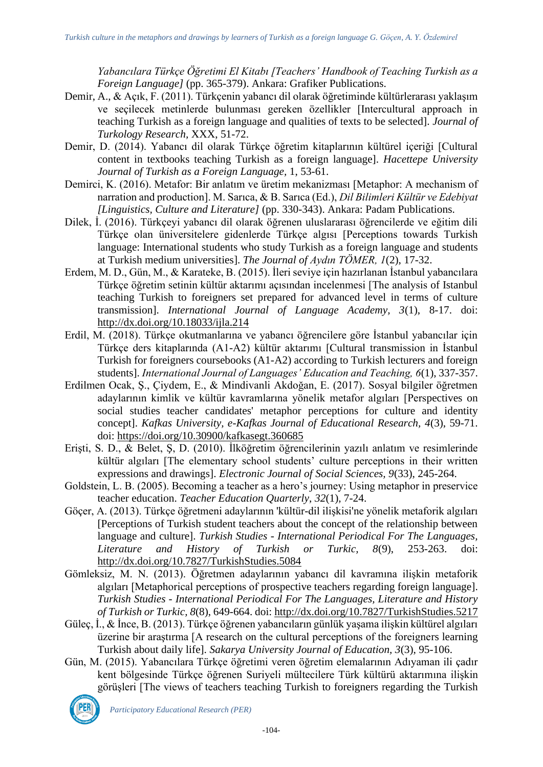*Yabancılara Türkçe Öğretimi El Kitabı [Teachers' Handbook of Teaching Turkish as a Foreign Language]* (pp. 365-379). Ankara: Grafiker Publications.

- Demir, A., & Açık, F. (2011). Türkçenin yabancı dil olarak öğretiminde kültürlerarası yaklaşım ve seçilecek metinlerde bulunması gereken özellikler [Intercultural approach in teaching Turkish as a foreign language and qualities of texts to be selected]. *Journal of Turkology Research,* XXX, 51-72.
- Demir, D. (2014). Yabancı dil olarak Türkçe öğretim kitaplarının kültürel içeriği [Cultural content in textbooks teaching Turkish as a foreign language]. *Hacettepe University Journal of Turkish as a Foreign Language,* 1, 53-61.
- Demirci, K. (2016). Metafor: Bir anlatım ve üretim mekanizması [Metaphor: A mechanism of narration and production]. M. Sarıca, & B. Sarıca (Ed.), *Dil Bilimleri Kültür ve Edebiyat [Linguistics, Culture and Literature]* (pp. 330-343). Ankara: Padam Publications.
- Dilek, İ. (2016). Türkçeyi yabancı dil olarak öğrenen uluslararası öğrencilerde ve eğitim dili Türkçe olan üniversitelere gidenlerde Türkçe algısı [Perceptions towards Turkish language: International students who study Turkish as a foreign language and students at Turkish medium universities]. *The Journal of Aydın TÖMER, 1*(2), 17-32.
- Erdem, M. D., Gün, M., & Karateke, B. (2015). İleri seviye için hazırlanan İstanbul yabancılara Türkçe öğretim setinin kültür aktarımı açısından incelenmesi [The analysis of Istanbul teaching Turkish to foreigners set prepared for advanced level in terms of culture transmission]. *International Journal of Language Academy, 3*(1), 8-17. doi: <http://dx.doi.org/10.18033/ijla.214>
- Erdil, M. (2018). Türkçe okutmanlarına ve yabancı öğrencilere göre İstanbul yabancılar için Türkçe ders kitaplarında (A1-A2) kültür aktarımı [Cultural transmission in İstanbul Turkish for foreigners coursebooks (A1-A2) according to Turkish lecturers and foreign students]. *International Journal of Languages' Education and Teaching, 6*(1), 337-357.
- Erdilmen Ocak, Ş., Çiydem, E., & Mindivanli Akdoğan, E. (2017). Sosyal bilgiler öğretmen adaylarının kimlik ve kültür kavramlarına yönelik metafor algıları [Perspectives on social studies teacher candidates' metaphor perceptions for culture and identity concept]. *Kafkas University, e-Kafkas Journal of Educational Research, 4*(3), 59-71. doi:<https://doi.org/10.30900/kafkasegt.360685>
- Erişti, S. D., & Belet, Ş, D. (2010). İlköğretim öğrencilerinin yazılı anlatım ve resimlerinde kültür algıları [The elementary school students' culture perceptions in their written expressions and drawings]. *Electronic Journal of Social Sciences, 9*(33), 245-264.
- Goldstein, L. B. (2005). Becoming a teacher as a hero's journey: Using metaphor in preservice teacher education. *Teacher Education Quarterly*, *32*(1)*,* 7-24.
- Göçer, A. (2013). Türkçe öğretmeni adaylarının 'kültür-dil ilişkisi'ne yönelik metaforik algıları [Perceptions of Turkish student teachers about the concept of the relationship between language and culture]. *Turkish Studies - International Periodical For The Languages, Literature and History of Turkish or Turkic, 8*(9), 253-263. doi: <http://dx.doi.org/10.7827/TurkishStudies.5084>
- Gömleksiz, M. N. (2013). Öğretmen adaylarının yabancı dil kavramına ilişkin metaforik algıları [Metaphorical perceptions of prospective teachers regarding foreign language]. *Turkish Studies - International Periodical For The Languages, Literature and History of Turkish or Turkic, 8*(8), 649-664. doi:<http://dx.doi.org/10.7827/TurkishStudies.5217>
- Güleç, İ., & İnce, B. (2013). Türkçe öğrenen yabancıların günlük yaşama ilişkin kültürel algıları üzerine bir araştırma [A research on the cultural perceptions of the foreigners learning Turkish about daily life]. *Sakarya University Journal of Education, 3*(3), 95-106.
- Gün, M. (2015). Yabancılara Türkçe öğretimi veren öğretim elemalarının Adıyaman ili çadır kent bölgesinde Türkçe öğrenen Suriyeli mültecilere Türk kültürü aktarımına ilişkin görüşleri [The views of teachers teaching Turkish to foreigners regarding the Turkish

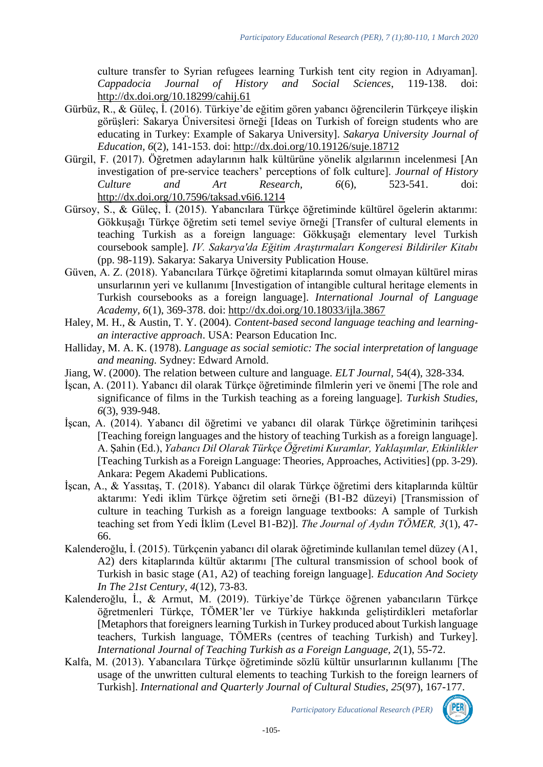culture transfer to Syrian refugees learning Turkish tent city region in Adıyaman]. *Cappadocia Journal of History and Social Sciences*, 119-138. doi: <http://dx.doi.org/10.18299/cahij.61>

- Gürbüz, R., & Güleç, İ. (2016). Türkiye'de eğitim gören yabancı öğrencilerin Türkçeye ilişkin görüşleri: Sakarya Üniversitesi örneği [Ideas on Turkish of foreign students who are educating in Turkey: Example of Sakarya University]. *Sakarya University Journal of Education, 6*(2), 141-153. doi:<http://dx.doi.org/10.19126/suje.18712>
- Gürgil, F. (2017). Öğretmen adaylarının halk kültürüne yönelik algılarının incelenmesi [An investigation of pre-service teachers' perceptions of folk culture]. *Journal of History Culture and Art Research, 6*(6), 523-541. doi: <http://dx.doi.org/10.7596/taksad.v6i6.1214>
- Gürsoy, S., & Güleç, İ. (2015). Yabancılara Türkçe öğretiminde kültürel ögelerin aktarımı: Gökkuşağı Türkçe öğretim seti temel seviye örneği [Transfer of cultural elements in teaching Turkish as a foreign language: Gökkuşağı elementary level Turkish coursebook sample]. *IV. Sakarya'da Eğitim Araştırmaları Kongeresi Bildiriler Kitabı* (pp. 98-119). Sakarya: Sakarya University Publication House.
- Güven, A. Z. (2018). Yabancılara Türkçe öğretimi kitaplarında somut olmayan kültürel miras unsurlarının yeri ve kullanımı [Investigation of intangible cultural heritage elements in Turkish coursebooks as a foreign language]. *International Journal of Language Academy, 6*(1), 369-378. doi:<http://dx.doi.org/10.18033/ijla.3867>
- Haley, M. H., & Austin, T. Y. (2004). *Content-based second language teaching and learningan interactive approach*. USA: Pearson Education Inc.
- Halliday, M. A. K. (1978). *Language as social semiotic: The social interpretation of language and meaning.* Sydney: Edward Arnold.
- Jiang, W. (2000). The relation between culture and language. *ELT Journal,* 54(4), 328-334*.*
- İşcan, A. (2011). Yabancı dil olarak Türkçe öğretiminde filmlerin yeri ve önemi [The role and significance of films in the Turkish teaching as a foreing language]. *Turkish Studies, 6*(3), 939-948.
- İşcan, A. (2014). Yabancı dil öğretimi ve yabancı dil olarak Türkçe öğretiminin tarihçesi [Teaching foreign languages and the history of teaching Turkish as a foreign language]. A. Şahin (Ed.), *Yabancı Dil Olarak Türkçe Öğretimi Kuramlar, Yaklaşımlar, Etkinlikler* [Teaching Turkish as a Foreign Language: Theories, Approaches, Activities] (pp. 3-29). Ankara: Pegem Akademi Publications.
- İşcan, A., & Yassıtaş, T. (2018). Yabancı dil olarak Türkçe öğretimi ders kitaplarında kültür aktarımı: Yedi iklim Türkçe öğretim seti örneği (B1-B2 düzeyi) [Transmission of culture in teaching Turkish as a foreign language textbooks: A sample of Turkish teaching set from Yedi İklim (Level B1-B2)]. *The Journal of Aydın TÖMER, 3*(1), 47- 66.
- Kalenderoğlu, İ. (2015). Türkçenin yabancı dil olarak öğretiminde kullanılan temel düzey (A1, A2) ders kitaplarında kültür aktarımı [The cultural transmission of school book of Turkish in basic stage (A1, A2) of teaching foreign language]. *Education And Society In The 21st Century, 4*(12), 73-83.
- Kalenderoğlu, İ., & Armut, M. (2019). Türkiye'de Türkçe öğrenen yabancıların Türkçe öğretmenleri Türkçe, TÖMER'ler ve Türkiye hakkında geliştirdikleri metaforlar [Metaphors that foreigners learning Turkish in Turkey produced about Turkish language teachers, Turkish language, TÖMERs (centres of teaching Turkish) and Turkey]. *International Journal of Teaching Turkish as a Foreign Language, 2*(1), 55-72.
- Kalfa, M. (2013). Yabancılara Türkçe öğretiminde sözlü kültür unsurlarının kullanımı [The usage of the unwritten cultural elements to teaching Turkish to the foreign learners of Turkish]. *International and Quarterly Journal of Cultural Studies*, *25*(97), 167-177.

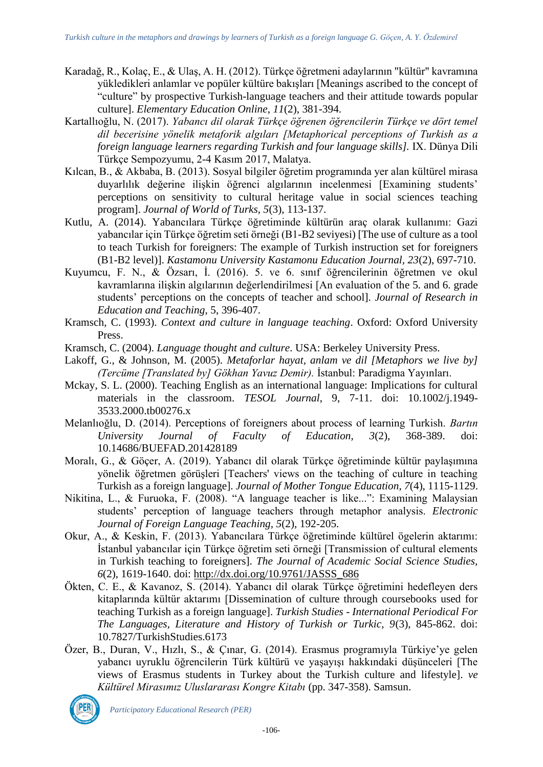- Karadağ, R., Kolaç, E., & Ulaş, A. H. (2012). Türkçe öğretmeni adaylarının "kültür" kavramına yükledikleri anlamlar ve popüler kültüre bakışları [Meanings ascribed to the concept of "culture" by prospective Turkish-language teachers and their attitude towards popular culture]. *Elementary Education Online, 11*(2), 381-394.
- Kartallıoğlu, N. (2017). *Yabancı dil olarak Türkçe öğrenen öğrencilerin Türkçe ve dört temel dil becerisine yönelik metaforik algıları [Metaphorical perceptions of Turkish as a foreign language learners regarding Turkish and four language skills].* IX. Dünya Dili Türkçe Sempozyumu, 2-4 Kasım 2017, Malatya.
- Kılcan, B., & Akbaba, B. (2013). Sosyal bilgiler öğretim programında yer alan kültürel mirasa duyarlılık değerine ilişkin öğrenci algılarının incelenmesi [Examining students' perceptions on sensitivity to cultural heritage value in social sciences teaching program]. *Journal of World of Turks, 5*(3), 113-137.
- Kutlu, A. (2014). Yabancılara Türkçe öğretiminde kültürün araç olarak kullanımı: Gazi yabancılar için Türkçe öğretim seti örneği (B1-B2 seviyesi) [The use of culture as a tool to teach Turkish for foreigners: The example of Turkish instruction set for foreigners (B1-B2 level)]. *Kastamonu University Kastamonu Education Journal, 23*(2), 697-710.
- Kuyumcu, F. N., & Özsarı, İ. (2016). 5. ve 6. sınıf öğrencilerinin öğretmen ve okul kavramlarına ilişkin algılarının değerlendirilmesi [An evaluation of the 5. and 6. grade students' perceptions on the concepts of teacher and school]. *Journal of Research in Education and Teaching*, 5, 396-407.
- Kramsch, C. (1993). *Context and culture in language teaching*. Oxford: Oxford University Press.
- Kramsch, C. (2004). *Language thought and culture*. USA: Berkeley University Press.
- Lakoff, G., & Johnson, M. (2005). *Metaforlar hayat, anlam ve dil [Metaphors we live by] (Tercüme [Translated by] Gökhan Yavuz Demir).* İstanbul: Paradigma Yayınları.
- Mckay, S. L. (2000). Teaching English as an international language: Implications for cultural materials in the classroom. *TESOL Journal*, 9, 7-11. doi: 10.1002/j.1949- 3533.2000.tb00276.x
- Melanlıoğlu, D. (2014). Perceptions of foreigners about process of learning Turkish. *Bartın University Journal of Faculty of Education, 3*(2), 368-389. doi: 10.14686/BUEFAD.201428189
- Moralı, G., & Göçer, A. (2019). Yabancı dil olarak Türkçe öğretiminde kültür paylaşımına yönelik öğretmen görüşleri [Teachers' views on the teaching of culture in teaching Turkish as a foreign language]. *Journal of Mother Tongue Education, 7*(4), 1115-1129.
- Nikitina, L., & Furuoka, F. (2008). "A language teacher is like...": Examining Malaysian students' perception of language teachers through metaphor analysis. *Electronic Journal of Foreign Language Teaching, 5*(2), 192-205.
- Okur, A., & Keskin, F. (2013). Yabancılara Türkçe öğretiminde kültürel ögelerin aktarımı: İstanbul yabancılar için Türkçe öğretim seti örneği [Transmission of cultural elements in Turkish teaching to foreigners]. *The Journal of Academic Social Science Studies, 6*(2), 1619-1640. doi: [http://dx.doi.org/10.9761/JASSS\\_686](http://dx.doi.org/10.9761/JASSS_686)
- Ökten, C. E., & Kavanoz, S. (2014). Yabancı dil olarak Türkçe öğretimini hedefleyen ders kitaplarında kültür aktarımı [Dissemination of culture through coursebooks used for teaching Turkish as a foreign language]. *Turkish Studies - International Periodical For The Languages, Literature and History of Turkish or Turkic, 9*(3), 845-862. doi: 10.7827/TurkishStudies.6173
- Özer, B., Duran, V., Hızlı, S., & Çınar, G. (2014). Erasmus programıyla Türkiye'ye gelen yabancı uyruklu öğrencilerin Türk kültürü ve yaşayışı hakkındaki düşünceleri [The views of Erasmus students in Turkey about the Turkish culture and lifestyle]. *ve Kültürel Mirasımız Uluslararası Kongre Kitabı* (pp. 347-358). Samsun.

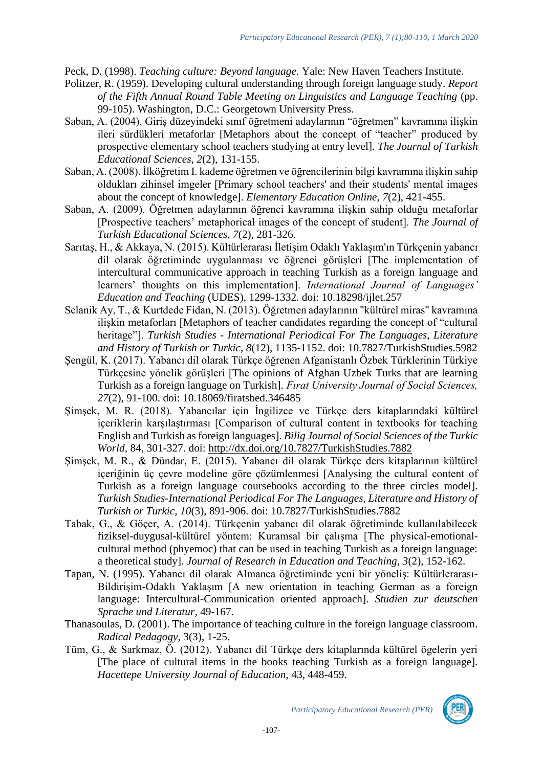Peck, D. (1998). *Teaching culture: Beyond language.* Yale: New Haven Teachers Institute.

- Politzer, R. (1959). Developing cultural understanding through foreign language study. *Report of the Fifth Annual Round Table Meeting on Linguistics and Language Teaching* (pp. 99-105). Washington, D.C.: Georgetown University Press.
- Saban, A. (2004). Giriş düzeyindeki sınıf öğretmeni adaylarının "öğretmen" kavramına ilişkin ileri sürdükleri metaforlar [Metaphors about the concept of "teacher" produced by prospective elementary school teachers studying at entry level]. *The Journal of Turkish Educational Sciences, 2*(2), 131-155.
- Saban, A. (2008). İlköğretim I. kademe öğretmen ve öğrencilerinin bilgi kavramına ilişkin sahip oldukları zihinsel imgeler [Primary school teachers' and their students' mental images about the concept of knowledge]. *Elementary Education Online, 7*(2), 421-455.
- Saban, A. (2009). Öğretmen adaylarının öğrenci kavramına ilişkin sahip olduğu metaforlar [Prospective teachers' metaphorical images of the concept of student]. *The Journal of Turkish Educational Sciences, 7*(2), 281-326.
- Sarıtaş, H., & Akkaya, N. (2015). Kültürlerarası İletişim Odaklı Yaklaşım'ın Türkçenin yabancı dil olarak öğretiminde uygulanması ve öğrenci görüşleri [The implementation of intercultural communicative approach in teaching Turkish as a foreign language and learners' thoughts on this implementation]. *International Journal of Languages' Education and Teaching* (UDES), 1299-1332. doi: 10.18298/ijlet.257
- Selanik Ay, T., & Kurtdede Fidan, N. (2013). Öğretmen adaylarının "kültürel miras" kavramına ilişkin metaforları [Metaphors of teacher candidates regarding the concept of "cultural heritage"]. *Turkish Studies - International Periodical For The Languages, Literature and History of Turkish or Turkic, 8*(12), 1135-1152. doi: 10.7827/TurkishStudies.5982
- Şengül, K. (2017). Yabancı dil olarak Türkçe öğrenen Afganistanlı Özbek Türklerinin Türkiye Türkçesine yönelik görüşleri [The opinions of Afghan Uzbek Turks that are learning Turkish as a foreign language on Turkish]. *Fırat University Journal of Social Sciences, 27*(2), 91-100. doi: 10.18069/firatsbed.346485
- Şimşek, M. R. (2018). Yabancılar için İngilizce ve Türkçe ders kitaplarındaki kültürel içeriklerin karşılaştırması [Comparison of cultural content in textbooks for teaching English and Turkish as foreign languages]. *Bilig Journal of Social Sciences of the Turkic World,* 84, 301-327. doi:<http://dx.doi.org/10.7827/TurkishStudies.7882>
- Şimşek, M. R., & Dündar, E. (2015). Yabancı dil olarak Türkçe ders kitaplarının kültürel içeriğinin üç çevre modeline göre çözümlenmesi [Analysing the cultural content of Turkish as a foreign language coursebooks according to the three circles model]. *Turkish Studies-International Periodical For The Languages, Literature and History of Turkish or Turkic, 10*(3), 891-906. doi: 10.7827/TurkishStudies.7882
- Tabak, G., & Göçer, A. (2014). Türkçenin yabancı dil olarak öğretiminde kullanılabilecek fiziksel-duygusal-kültürel yöntem: Kuramsal bir çalışma [The physical-emotionalcultural method (phyemoc) that can be used in teaching Turkish as a foreign language: a theoretical study]. *Journal of Research in Education and Teaching, 3*(2), 152-162.
- Tapan, N. (1995). Yabancı dil olarak Almanca öğretiminde yeni bir yöneliş: Kültürlerarası-Bildirişim-Odaklı Yaklaşım [A new orientation in teaching German as a foreign language: Intercultural-Communication oriented approach]. *Studien zur deutschen Sprache und Literatur*, 49-167.
- Thanasoulas, D. (2001). The importance of teaching culture in the foreign language classroom. *Radical Pedagogy*, 3(3), 1-25.
- Tüm, G., & Sarkmaz, Ö. (2012). Yabancı dil Türkçe ders kitaplarında kültürel ögelerin yeri [The place of cultural items in the books teaching Turkish as a foreign language]. *Hacettepe University Journal of Education*, 43, 448-459.



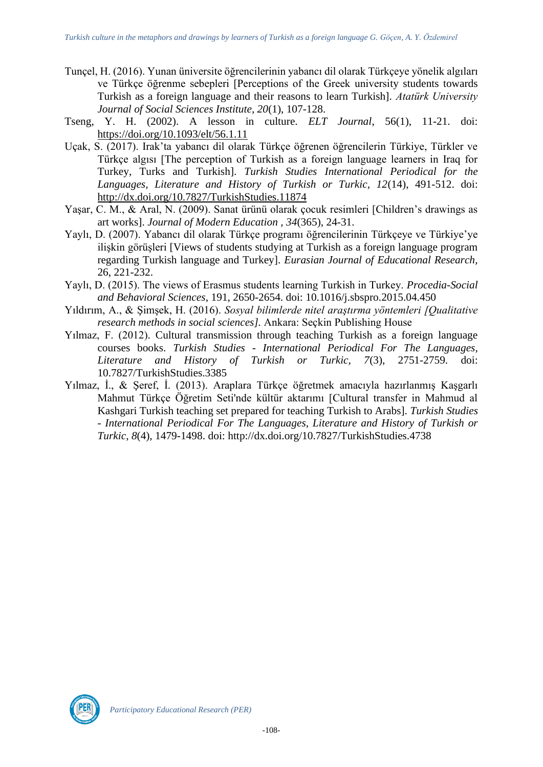- Tunçel, H. (2016). Yunan üniversite öğrencilerinin yabancı dil olarak Türkçeye yönelik algıları ve Türkçe öğrenme sebepleri [Perceptions of the Greek university students towards Turkish as a foreign language and their reasons to learn Turkish]. *Atatürk University Journal of Social Sciences Institute, 20*(1), 107-128.
- Tseng, Y. H. (2002). A lesson in culture. *ELT Journal*, 56(1), 11-21. doi: <https://doi.org/10.1093/elt/56.1.11>
- Uçak, S. (2017). Irak'ta yabancı dil olarak Türkçe öğrenen öğrencilerin Türkiye, Türkler ve Türkçe algısı [The perception of Turkish as a foreign language learners in Iraq for Turkey, Turks and Turkish]. *Turkish Studies International Periodical for the Languages, Literature and History of Turkish or Turkic, 12*(14), 491-512. doi: <http://dx.doi.org/10.7827/TurkishStudies.11874>
- Yaşar, C. M., & Aral, N. (2009). Sanat ürünü olarak çocuk resimleri [Children's drawings as art works]. *Journal of Modern Education , 34*(365), 24-31.
- Yaylı, D. (2007). Yabancı dil olarak Türkçe programı öğrencilerinin Türkçeye ve Türkiye'ye ilişkin görüşleri [Views of students studying at Turkish as a foreign language program regarding Turkish language and Turkey]. *Eurasian Journal of Educational Research*, 26, 221-232.
- Yaylı, D. (2015). The views of Erasmus students learning Turkish in Turkey. *Procedia-Social and Behavioral Sciences*, 191, 2650-2654. doi: 10.1016/j.sbspro.2015.04.450
- Yıldırım, A., & Şimşek, H. (2016). *Sosyal bilimlerde nitel araştırma yöntemleri [Qualitative research methods in social sciences].* Ankara: Seçkin Publishing House
- Yılmaz, F. (2012). Cultural transmission through teaching Turkish as a foreign language courses books. *Turkish Studies - International Periodical For The Languages, Literature and History of Turkish or Turkic, 7*(3), 2751-2759. doi: 10.7827/TurkishStudies.3385
- Yılmaz, İ., & Şeref, İ. (2013). Araplara Türkçe öğretmek amacıyla hazırlanmış Kaşgarlı Mahmut Türkçe Öğretim Seti'nde kültür aktarımı [Cultural transfer in Mahmud al Kashgari Turkish teaching set prepared for teaching Turkish to Arabs]. *Turkish Studies - International Periodical For The Languages, Literature and History of Turkish or Turkic, 8*(4), 1479-1498. doi: http://dx.doi.org/10.7827/TurkishStudies.4738

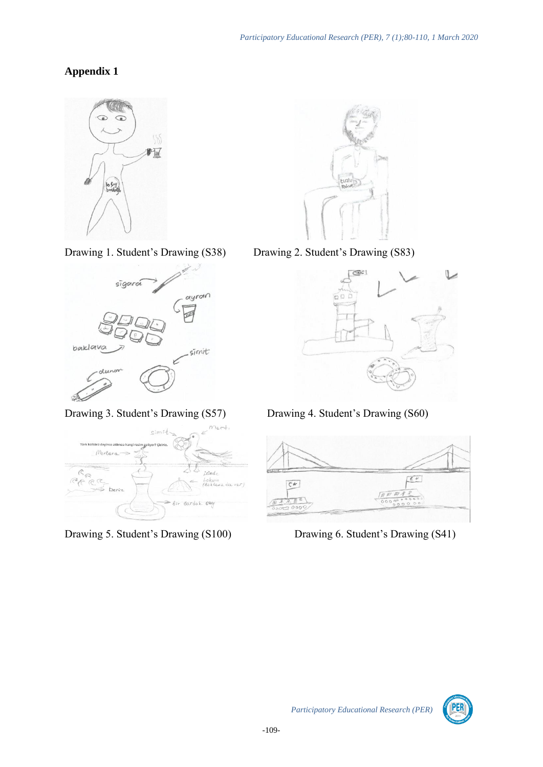# **Appendix 1**







Drawing 1. Student's Drawing (S38) Drawing 2. Student's Drawing (S83)





Drawing 3. Student's Drawing (S57) Drawing 4. Student's Drawing (S60)



Drawing 5. Student's Drawing (S100) Drawing 6. Student's Drawing (S41)